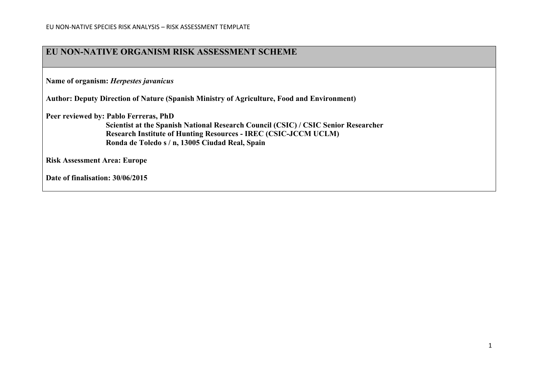### **EU NON-NATIVE ORGANISM RISK ASSESSMENT SCHEME**

**Name of organism:** *Herpestes javanicus*

**Author: Deputy Direction of Nature (Spanish Ministry of Agriculture, Food and Environment)**

**Peer reviewed by: Pablo Ferreras, PhD**

**Scientist at the Spanish National Research Council (CSIC) / CSIC Senior Researcher Research Institute of Hunting Resources - IREC (CSIC-JCCM UCLM) Ronda de Toledo s / n, 13005 Ciudad Real, Spain**

**Risk Assessment Area: Europe**

**Date of finalisation: 30/06/2015**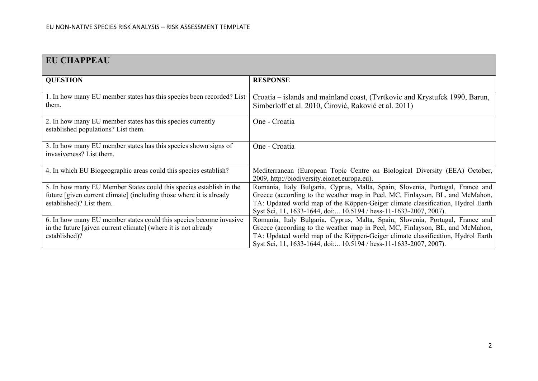| <b>EU CHAPPEAU</b>                                                                                                                                                     |                                                                                                                                                                                                                                                                                                                       |
|------------------------------------------------------------------------------------------------------------------------------------------------------------------------|-----------------------------------------------------------------------------------------------------------------------------------------------------------------------------------------------------------------------------------------------------------------------------------------------------------------------|
| <b>QUESTION</b>                                                                                                                                                        | <b>RESPONSE</b>                                                                                                                                                                                                                                                                                                       |
| 1. In how many EU member states has this species been recorded? List<br>them.                                                                                          | Croatia – islands and mainland coast, (Tvrtkovic and Krystufek 1990, Barun,<br>Simberloff et al. 2010, Cirović, Raković et al. 2011)                                                                                                                                                                                  |
| 2. In how many EU member states has this species currently<br>established populations? List them.                                                                      | One - Croatia                                                                                                                                                                                                                                                                                                         |
| 3. In how many EU member states has this species shown signs of<br>invasiveness? List them.                                                                            | One - Croatia                                                                                                                                                                                                                                                                                                         |
| 4. In which EU Biogeographic areas could this species establish?                                                                                                       | Mediterranean (European Topic Centre on Biological Diversity (EEA) October,<br>2009, http://biodiversity.eionet.europa.eu).                                                                                                                                                                                           |
| 5. In how many EU Member States could this species establish in the<br>future [given current climate] (including those where it is already<br>established)? List them. | Romania, Italy Bulgaria, Cyprus, Malta, Spain, Slovenia, Portugal, France and<br>Greece (according to the weather map in Peel, MC, Finlayson, BL, and McMahon,<br>TA: Updated world map of the Köppen-Geiger climate classification, Hydrol Earth<br>Syst Sci, 11, 1633-1644, doi 10.5194 / hess-11-1633-2007, 2007). |
| 6. In how many EU member states could this species become invasive<br>in the future [given current climate] (where it is not already<br>established)?                  | Romania, Italy Bulgaria, Cyprus, Malta, Spain, Slovenia, Portugal, France and<br>Greece (according to the weather map in Peel, MC, Finlayson, BL, and McMahon,<br>TA: Updated world map of the Köppen-Geiger climate classification, Hydrol Earth<br>Syst Sci, 11, 1633-1644, doi 10.5194 / hess-11-1633-2007, 2007). |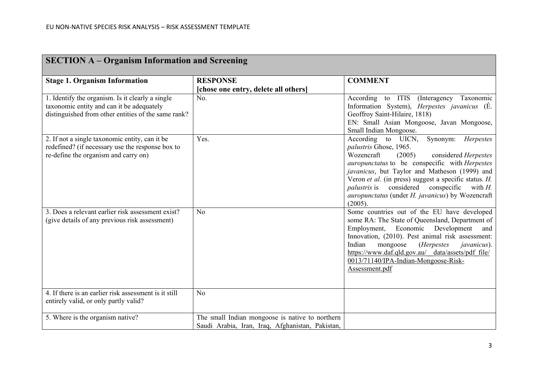| <b>SECTION A – Organism Information and Screening</b>                                                                                                |                                                                                                     |                                                                                                                                                                                                                                                                                                                                                                                                                         |  |
|------------------------------------------------------------------------------------------------------------------------------------------------------|-----------------------------------------------------------------------------------------------------|-------------------------------------------------------------------------------------------------------------------------------------------------------------------------------------------------------------------------------------------------------------------------------------------------------------------------------------------------------------------------------------------------------------------------|--|
| <b>Stage 1. Organism Information</b>                                                                                                                 | <b>RESPONSE</b><br>[chose one entry, delete all others]                                             | <b>COMMENT</b>                                                                                                                                                                                                                                                                                                                                                                                                          |  |
| 1. Identify the organism. Is it clearly a single<br>taxonomic entity and can it be adequately<br>distinguished from other entities of the same rank? | No.                                                                                                 | According to ITIS (Interagency Taxonomic<br>Information System), Herpestes javanicus (E.<br>Geoffroy Saint-Hilaire, 1818)<br>EN: Small Asian Mongoose, Javan Mongoose,<br>Small Indian Mongoose.                                                                                                                                                                                                                        |  |
| 2. If not a single taxonomic entity, can it be<br>redefined? (if necessary use the response box to<br>re-define the organism and carry on)           | Yes.                                                                                                | According to UICN,<br>Synonym: Herpestes<br>palustris Ghose, 1965.<br>Wozencraft<br>(2005)<br>considered Herpestes<br><i>auropunctatus</i> to be conspecific with <i>Herpestes</i><br>javanicus, but Taylor and Matheson (1999) and<br>Veron et al. (in press) suggest a specific status. H.<br><i>palustris</i> is considered conspecific<br>with $H$ .<br>auropunctatus (under H. javanicus) by Wozencraft<br>(2005). |  |
| 3. Does a relevant earlier risk assessment exist?<br>(give details of any previous risk assessment)                                                  | N <sub>o</sub>                                                                                      | Some countries out of the EU have developed<br>some RA: The State of Queensland, Department of<br>Employment, Economic Development<br>and<br>Innovation, (2010). Pest animal risk assessment:<br>mongoose<br>( <i>Herpestes</i><br>Indian<br><i>javanicus</i> ).<br>https://www.daf.qld.gov.au/_data/assets/pdf_file/<br>0013/71140/IPA-Indian-Mongoose-Risk-<br>Assessment.pdf                                         |  |
| 4. If there is an earlier risk assessment is it still<br>entirely valid, or only partly valid?                                                       | N <sub>o</sub>                                                                                      |                                                                                                                                                                                                                                                                                                                                                                                                                         |  |
| 5. Where is the organism native?                                                                                                                     | The small Indian mongoose is native to northern<br>Saudi Arabia, Iran, Iraq, Afghanistan, Pakistan, |                                                                                                                                                                                                                                                                                                                                                                                                                         |  |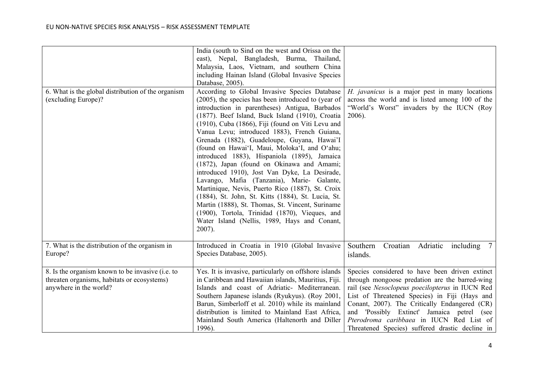|                                                                                                                           | India (south to Sind on the west and Orissa on the<br>east), Nepal, Bangladesh, Burma, Thailand,<br>Malaysia, Laos, Vietnam, and southern China<br>including Hainan Island (Global Invasive Species<br>Database, 2005).                                                                                                                                                                                                                                                                                                                                                                                                                                                                                                                                                                                                                                                                |                                                                                                                                                                                                                                                                                                                                                                                                    |
|---------------------------------------------------------------------------------------------------------------------------|----------------------------------------------------------------------------------------------------------------------------------------------------------------------------------------------------------------------------------------------------------------------------------------------------------------------------------------------------------------------------------------------------------------------------------------------------------------------------------------------------------------------------------------------------------------------------------------------------------------------------------------------------------------------------------------------------------------------------------------------------------------------------------------------------------------------------------------------------------------------------------------|----------------------------------------------------------------------------------------------------------------------------------------------------------------------------------------------------------------------------------------------------------------------------------------------------------------------------------------------------------------------------------------------------|
| 6. What is the global distribution of the organism<br>(excluding Europe)?                                                 | According to Global Invasive Species Database<br>(2005), the species has been introduced to (year of<br>introduction in parentheses) Antigua, Barbados<br>(1877). Beef Island, Buck Island (1910), Croatia<br>(1910), Cuba (1866), Fiji (found on Viti Levu and<br>Vanua Levu; introduced 1883), French Guiana,<br>Grenada (1882), Guadeloupe, Guyana, Hawai'I<br>(found on Hawai'I, Maui, Moloka'I, and O'ahu;<br>introduced 1883), Hispaniola (1895), Jamaica<br>(1872), Japan (found on Okinawa and Amami;<br>introduced 1910), Jost Van Dyke, La Desirade,<br>Lavango, Mafia (Tanzania), Marie- Galante,<br>Martinique, Nevis, Puerto Rico (1887), St. Croix<br>(1884), St. John, St. Kitts (1884), St. Lucia, St.<br>Martin (1888), St. Thomas, St. Vincent, Suriname<br>(1900), Tortola, Trinidad (1870), Vieques, and<br>Water Island (Nellis, 1989, Hays and Conant,<br>2007). | H. javanicus is a major pest in many locations<br>across the world and is listed among 100 of the<br>"World's Worst" invaders by the IUCN (Roy<br>2006).                                                                                                                                                                                                                                           |
| 7. What is the distribution of the organism in<br>Europe?                                                                 | Introduced in Croatia in 1910 (Global Invasive<br>Species Database, 2005).                                                                                                                                                                                                                                                                                                                                                                                                                                                                                                                                                                                                                                                                                                                                                                                                             | Southern<br>Adriatic including<br>Croatian<br>7<br>islands.                                                                                                                                                                                                                                                                                                                                        |
| 8. Is the organism known to be invasive (i.e. to<br>threaten organisms, habitats or ecosystems)<br>anywhere in the world? | Yes. It is invasive, particularly on offshore islands<br>in Caribbean and Hawaiian islands, Mauritius, Fiji.<br>Islands and coast of Adriatic- Mediterranean.<br>Southern Japanese islands (Ryukyus). (Roy 2001,<br>Barun, Simberloff et al. 2010) while its mainland<br>distribution is limited to Mainland East Africa,<br>Mainland South America (Haltenorth and Diller<br>1996).                                                                                                                                                                                                                                                                                                                                                                                                                                                                                                   | Species considered to have been driven extinct<br>through mongoose predation are the barred-wing<br>rail (see Nesoclopeus poecilopterus in IUCN Red<br>List of Threatened Species) in Fiji (Hays and<br>Conant, 2007). The Critically Endangered (CR)<br>and 'Possibly Extinct' Jamaica petrel (see<br>Pterodroma caribbaea in IUCN Red List of<br>Threatened Species) suffered drastic decline in |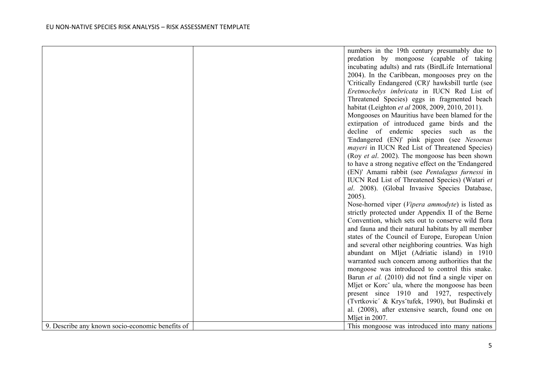|                                                  | numbers in the 19th century presumably due to               |
|--------------------------------------------------|-------------------------------------------------------------|
|                                                  | predation by mongoose (capable of taking                    |
|                                                  | incubating adults) and rats (BirdLife International         |
|                                                  | 2004). In the Caribbean, mongooses prey on the              |
|                                                  | 'Critically Endangered (CR)' hawksbill turtle (see          |
|                                                  | Eretmochelys imbricata in IUCN Red List of                  |
|                                                  | Threatened Species) eggs in fragmented beach                |
|                                                  | habitat (Leighton et al 2008, 2009, 2010, 2011).            |
|                                                  | Mongooses on Mauritius have been blamed for the             |
|                                                  | extirpation of introduced game birds and the                |
|                                                  | decline of endemic species such<br>as<br>the                |
|                                                  | 'Endangered (EN)' pink pigeon (see Nesoenas                 |
|                                                  | <i>mayeri</i> in IUCN Red List of Threatened Species)       |
|                                                  | (Roy et al. 2002). The mongoose has been shown              |
|                                                  | to have a strong negative effect on the 'Endangered         |
|                                                  | (EN)' Amami rabbit (see Pentalagus furnessi in              |
|                                                  | IUCN Red List of Threatened Species) (Watari et             |
|                                                  | al. 2008). (Global Invasive Species Database,               |
|                                                  | $2005$ ).                                                   |
|                                                  | Nose-horned viper (Vipera ammodyte) is listed as            |
|                                                  | strictly protected under Appendix II of the Berne           |
|                                                  | Convention, which sets out to conserve wild flora           |
|                                                  | and fauna and their natural habitats by all member          |
|                                                  | states of the Council of Europe, European Union             |
|                                                  | and several other neighboring countries. Was high           |
|                                                  | abundant on Mljet (Adriatic island) in 1910                 |
|                                                  | warranted such concern among authorities that the           |
|                                                  | mongoose was introduced to control this snake.              |
|                                                  | Barun et al. (2010) did not find a single viper on          |
|                                                  | Mljet or Korc <sup>o</sup> ula, where the mongoose has been |
|                                                  | present since 1910 and 1927, respectively                   |
|                                                  | (Tvrtkovic' & Krys'tufek, 1990), but Budinski et            |
|                                                  | al. (2008), after extensive search, found one on            |
|                                                  | Mljet in 2007.                                              |
| 9. Describe any known socio-economic benefits of | This mongoose was introduced into many nations              |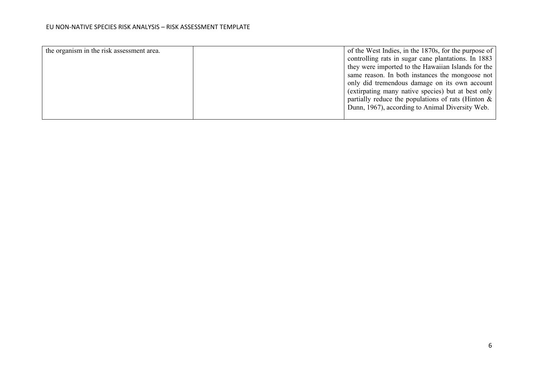| the organism in the risk assessment area. | of the West Indies, in the 1870s, for the purpose of  |
|-------------------------------------------|-------------------------------------------------------|
|                                           | controlling rats in sugar cane plantations. In 1883   |
|                                           | they were imported to the Hawaiian Islands for the    |
|                                           | same reason. In both instances the mongoose not       |
|                                           | only did tremendous damage on its own account         |
|                                           | (extirpating many native species) but at best only    |
|                                           | partially reduce the populations of rats (Hinton $\&$ |
|                                           | Dunn, 1967), according to Animal Diversity Web.       |
|                                           |                                                       |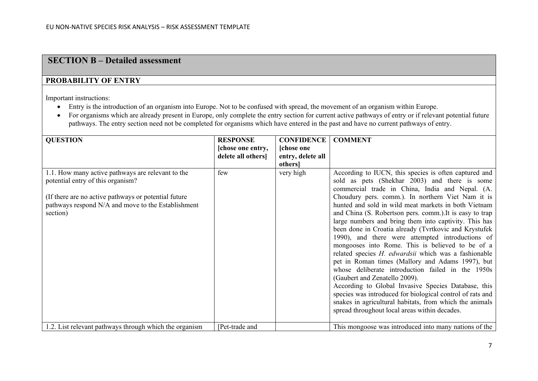### **SECTION B – Detailed assessment**

#### **PROBABILITY OF ENTRY**

Important instructions:

- Entry is the introduction of an organism into Europe. Not to be confused with spread, the movement of an organism within Europe.
- For organisms which are already present in Europe, only complete the entry section for current active pathways of entry or if relevant potential future pathways. The entry section need not be completed for organisms which have entered in the past and have no current pathways of entry.

| <b>QUESTION</b>                                                                                                                                                                                                   | <b>RESPONSE</b>   | <b>CONFIDENCE</b> | <b>COMMENT</b>                                                                                                                                                                                                                                                                                                                                                                                                                                                                                                                                                                                                                                                                                                                                                                                                                                                                                                                                       |
|-------------------------------------------------------------------------------------------------------------------------------------------------------------------------------------------------------------------|-------------------|-------------------|------------------------------------------------------------------------------------------------------------------------------------------------------------------------------------------------------------------------------------------------------------------------------------------------------------------------------------------------------------------------------------------------------------------------------------------------------------------------------------------------------------------------------------------------------------------------------------------------------------------------------------------------------------------------------------------------------------------------------------------------------------------------------------------------------------------------------------------------------------------------------------------------------------------------------------------------------|
|                                                                                                                                                                                                                   | [chose one entry, | [chose one        |                                                                                                                                                                                                                                                                                                                                                                                                                                                                                                                                                                                                                                                                                                                                                                                                                                                                                                                                                      |
|                                                                                                                                                                                                                   | delete all others | entry, delete all |                                                                                                                                                                                                                                                                                                                                                                                                                                                                                                                                                                                                                                                                                                                                                                                                                                                                                                                                                      |
|                                                                                                                                                                                                                   |                   | <i>others</i>     |                                                                                                                                                                                                                                                                                                                                                                                                                                                                                                                                                                                                                                                                                                                                                                                                                                                                                                                                                      |
| 1.1. How many active pathways are relevant to the<br>potential entry of this organism?<br>(If there are no active pathways or potential future)<br>pathways respond N/A and move to the Establishment<br>section) | few               | very high         | According to IUCN, this species is often captured and<br>sold as pets (Shekhar 2003) and there is some<br>commercial trade in China, India and Nepal. (A.<br>Choudury pers. comm.). In northern Viet Nam it is<br>hunted and sold in wild meat markets in both Vietnam<br>and China (S. Robertson pers. comm.). It is easy to trap<br>large numbers and bring them into captivity. This has<br>been done in Croatia already (Tvrtkovic and Krystufek<br>1990), and there were attempted introductions of<br>mongooses into Rome. This is believed to be of a<br>related species <i>H. edwardsii</i> which was a fashionable<br>pet in Roman times (Mallory and Adams 1997), but<br>whose deliberate introduction failed in the 1950s<br>(Gaubert and Zenatello 2009).<br>According to Global Invasive Species Database, this<br>species was introduced for biological control of rats and<br>snakes in agricultural habitats, from which the animals |
|                                                                                                                                                                                                                   |                   |                   | spread throughout local areas within decades.                                                                                                                                                                                                                                                                                                                                                                                                                                                                                                                                                                                                                                                                                                                                                                                                                                                                                                        |
| 1.2. List relevant pathways through which the organism                                                                                                                                                            | [Pet-trade and    |                   | This mongoose was introduced into many nations of the                                                                                                                                                                                                                                                                                                                                                                                                                                                                                                                                                                                                                                                                                                                                                                                                                                                                                                |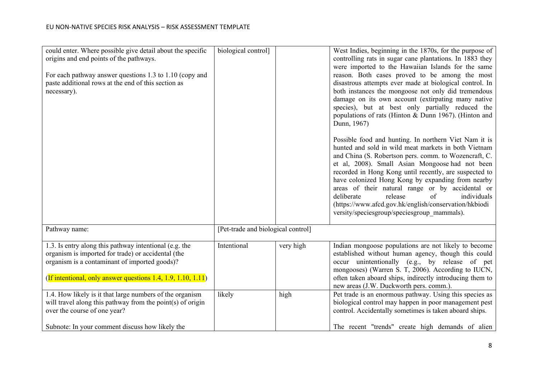| could enter. Where possible give detail about the specific<br>origins and end points of the pathways.<br>For each pathway answer questions 1.3 to 1.10 (copy and<br>paste additional rows at the end of this section as<br>necessary). | biological control]                |           | West Indies, beginning in the 1870s, for the purpose of<br>controlling rats in sugar cane plantations. In 1883 they<br>were imported to the Hawaiian Islands for the same<br>reason. Both cases proved to be among the most<br>disastrous attempts ever made at biological control. In<br>both instances the mongoose not only did tremendous<br>damage on its own account (extirpating many native<br>species), but at best only partially reduced the<br>populations of rats (Hinton & Dunn 1967). (Hinton and<br>Dunn, 1967)<br>Possible food and hunting. In northern Viet Nam it is<br>hunted and sold in wild meat markets in both Vietnam<br>and China (S. Robertson pers. comm. to Wozencraft, C.<br>et al, 2008). Small Asian Mongoose had not been<br>recorded in Hong Kong until recently, are suspected to<br>have colonized Hong Kong by expanding from nearby<br>areas of their natural range or by accidental or<br>release<br>$\sigma$ f<br>deliberate<br>individuals<br>(https://www.afcd.gov.hk/english/conservation/hkbiodi<br>versity/speciesgroup/speciesgroup mammals). |
|----------------------------------------------------------------------------------------------------------------------------------------------------------------------------------------------------------------------------------------|------------------------------------|-----------|-----------------------------------------------------------------------------------------------------------------------------------------------------------------------------------------------------------------------------------------------------------------------------------------------------------------------------------------------------------------------------------------------------------------------------------------------------------------------------------------------------------------------------------------------------------------------------------------------------------------------------------------------------------------------------------------------------------------------------------------------------------------------------------------------------------------------------------------------------------------------------------------------------------------------------------------------------------------------------------------------------------------------------------------------------------------------------------------------|
| Pathway name:                                                                                                                                                                                                                          | [Pet-trade and biological control] |           |                                                                                                                                                                                                                                                                                                                                                                                                                                                                                                                                                                                                                                                                                                                                                                                                                                                                                                                                                                                                                                                                                               |
| 1.3. Is entry along this pathway intentional (e.g. the<br>organism is imported for trade) or accidental (the<br>organism is a contaminant of imported goods)?<br>(If intentional, only answer questions 1.4, 1.9, 1.10, 1.11)          | Intentional                        | very high | Indian mongoose populations are not likely to become<br>established without human agency, though this could<br>occur unintentionally (e.g., by release of pet<br>mongooses) (Warren S. T, 2006). According to IUCN,<br>often taken aboard ships, indirectly introducing them to<br>new areas (J.W. Duckworth pers. comm.).                                                                                                                                                                                                                                                                                                                                                                                                                                                                                                                                                                                                                                                                                                                                                                    |
| 1.4. How likely is it that large numbers of the organism<br>will travel along this pathway from the point(s) of origin<br>over the course of one year?<br>Subnote: In your comment discuss how likely the                              | likely                             | high      | Pet trade is an enormous pathway. Using this species as<br>biological control may happen in poor management pest<br>control. Accidentally sometimes is taken aboard ships.<br>The recent "trends" create high demands of alien                                                                                                                                                                                                                                                                                                                                                                                                                                                                                                                                                                                                                                                                                                                                                                                                                                                                |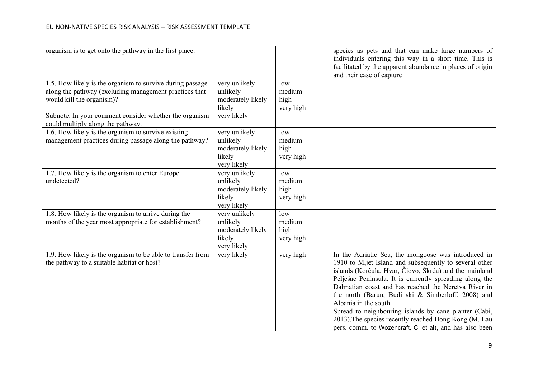| organism is to get onto the pathway in the first place.                                                                                                                                                                                         |                                                                         |                                    | species as pets and that can make large numbers of<br>individuals entering this way in a short time. This is<br>facilitated by the apparent abundance in places of origin<br>and their ease of capture                                                                                                                                                                                                                                                                                                                                                 |
|-------------------------------------------------------------------------------------------------------------------------------------------------------------------------------------------------------------------------------------------------|-------------------------------------------------------------------------|------------------------------------|--------------------------------------------------------------------------------------------------------------------------------------------------------------------------------------------------------------------------------------------------------------------------------------------------------------------------------------------------------------------------------------------------------------------------------------------------------------------------------------------------------------------------------------------------------|
| 1.5. How likely is the organism to survive during passage<br>along the pathway (excluding management practices that<br>would kill the organism)?<br>Subnote: In your comment consider whether the organism<br>could multiply along the pathway. | very unlikely<br>unlikely<br>moderately likely<br>likely<br>very likely | low<br>medium<br>high<br>very high |                                                                                                                                                                                                                                                                                                                                                                                                                                                                                                                                                        |
| 1.6. How likely is the organism to survive existing<br>management practices during passage along the pathway?                                                                                                                                   | very unlikely<br>unlikely<br>moderately likely<br>likely<br>very likely | low<br>medium<br>high<br>very high |                                                                                                                                                                                                                                                                                                                                                                                                                                                                                                                                                        |
| 1.7. How likely is the organism to enter Europe<br>undetected?                                                                                                                                                                                  | very unlikely<br>unlikely<br>moderately likely<br>likely<br>very likely | low<br>medium<br>high<br>very high |                                                                                                                                                                                                                                                                                                                                                                                                                                                                                                                                                        |
| 1.8. How likely is the organism to arrive during the<br>months of the year most appropriate for establishment?                                                                                                                                  | very unlikely<br>unlikely<br>moderately likely<br>likely<br>very likely | low<br>medium<br>high<br>very high |                                                                                                                                                                                                                                                                                                                                                                                                                                                                                                                                                        |
| 1.9. How likely is the organism to be able to transfer from<br>the pathway to a suitable habitat or host?                                                                                                                                       | very likely                                                             | very high                          | In the Adriatic Sea, the mongoose was introduced in<br>1910 to Mljet Island and subsequently to several other<br>islands (Korĉula, Hvar, Ĉiovo, Škrda) and the mainland<br>Pelješac Peninsula. It is currently spreading along the<br>Dalmatian coast and has reached the Neretva River in<br>the north (Barun, Budinski & Simberloff, 2008) and<br>Albania in the south.<br>Spread to neighbouring islands by cane planter (Cabi,<br>2013). The species recently reached Hong Kong (M. Lau<br>pers. comm. to Wozencraft, C. et al), and has also been |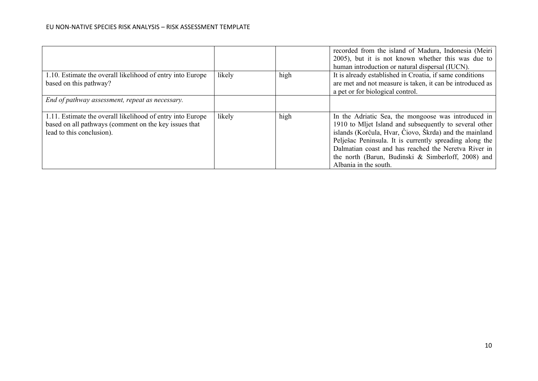|                                                                                                                                                  |        |      | recorded from the island of Madura, Indonesia (Meiri<br>2005), but it is not known whether this was due to<br>human introduction or natural dispersal (IUCN).                                                                                                                                                                                                             |
|--------------------------------------------------------------------------------------------------------------------------------------------------|--------|------|---------------------------------------------------------------------------------------------------------------------------------------------------------------------------------------------------------------------------------------------------------------------------------------------------------------------------------------------------------------------------|
| 1.10. Estimate the overall likelihood of entry into Europe<br>based on this pathway?                                                             | likely | high | It is already established in Croatia, if same conditions<br>are met and not measure is taken, it can be introduced as<br>a pet or for biological control.                                                                                                                                                                                                                 |
| End of pathway assessment, repeat as necessary.                                                                                                  |        |      |                                                                                                                                                                                                                                                                                                                                                                           |
| 1.11. Estimate the overall likelihood of entry into Europe<br>based on all pathways (comment on the key issues that<br>lead to this conclusion). | likely | high | In the Adriatic Sea, the mongoose was introduced in<br>1910 to Mljet Island and subsequently to several other<br>islands (Korĉula, Hvar, Ĉiovo, Škrda) and the mainland<br>Pelješac Peninsula. It is currently spreading along the<br>Dalmatian coast and has reached the Neretva River in<br>the north (Barun, Budinski & Simberloff, 2008) and<br>Albania in the south. |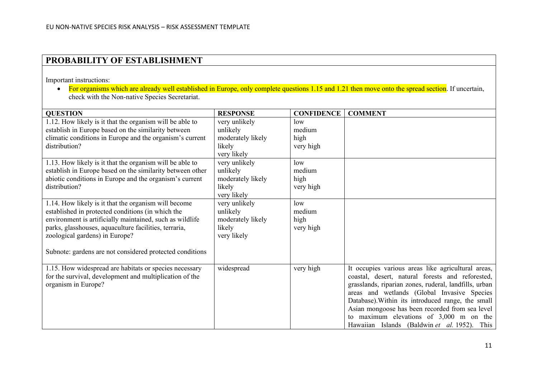## **PROBABILITY OF ESTABLISHMENT**

Important instructions:

• For organisms which are already well established in Europe, only complete questions 1.15 and 1.21 then move onto the spread section. If uncertain, check with the Non-native Species Secretariat.

| <b>QUESTION</b>                                                                                                                                                                                                                                                                                                              | <b>RESPONSE</b>                                                         | <b>CONFIDENCE</b>                  | <b>COMMENT</b>                                                                                                                                                                                                                                                                                                                                                                                                      |
|------------------------------------------------------------------------------------------------------------------------------------------------------------------------------------------------------------------------------------------------------------------------------------------------------------------------------|-------------------------------------------------------------------------|------------------------------------|---------------------------------------------------------------------------------------------------------------------------------------------------------------------------------------------------------------------------------------------------------------------------------------------------------------------------------------------------------------------------------------------------------------------|
| 1.12. How likely is it that the organism will be able to<br>establish in Europe based on the similarity between<br>climatic conditions in Europe and the organism's current<br>distribution?                                                                                                                                 | very unlikely<br>unlikely<br>moderately likely<br>likely<br>very likely | low<br>medium<br>high<br>very high |                                                                                                                                                                                                                                                                                                                                                                                                                     |
| 1.13. How likely is it that the organism will be able to<br>establish in Europe based on the similarity between other<br>abiotic conditions in Europe and the organism's current<br>distribution?                                                                                                                            | very unlikely<br>unlikely<br>moderately likely<br>likely<br>very likely | low<br>medium<br>high<br>very high |                                                                                                                                                                                                                                                                                                                                                                                                                     |
| 1.14. How likely is it that the organism will become<br>established in protected conditions (in which the<br>environment is artificially maintained, such as wildlife<br>parks, glasshouses, aquaculture facilities, terraria,<br>zoological gardens) in Europe?<br>Subnote: gardens are not considered protected conditions | very unlikely<br>unlikely<br>moderately likely<br>likely<br>very likely | low<br>medium<br>high<br>very high |                                                                                                                                                                                                                                                                                                                                                                                                                     |
| 1.15. How widespread are habitats or species necessary<br>for the survival, development and multiplication of the<br>organism in Europe?                                                                                                                                                                                     | widespread                                                              | very high                          | It occupies various areas like agricultural areas,<br>coastal, desert, natural forests and reforested,<br>grasslands, riparian zones, ruderal, landfills, urban<br>areas and wetlands (Global Invasive Species<br>Database). Within its introduced range, the small<br>Asian mongoose has been recorded from sea level<br>to maximum elevations of $3,000$ m on the<br>Hawaiian Islands (Baldwin et al. 1952). This |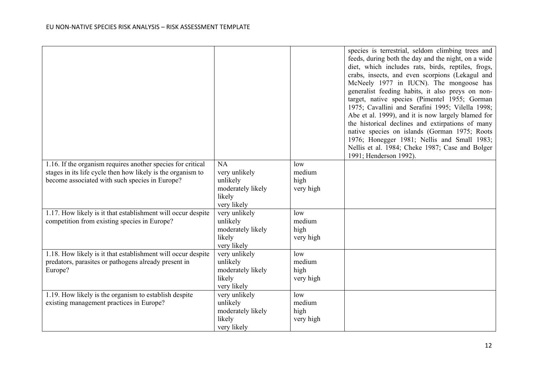|                                                              |                   |           | species is terrestrial, seldom climbing trees and<br>feeds, during both the day and the night, on a wide<br>diet, which includes rats, birds, reptiles, frogs,<br>crabs, insects, and even scorpions (Lekagul and<br>McNeely 1977 in IUCN). The mongoose has<br>generalist feeding habits, it also preys on non-<br>target, native species (Pimentel 1955; Gorman |
|--------------------------------------------------------------|-------------------|-----------|-------------------------------------------------------------------------------------------------------------------------------------------------------------------------------------------------------------------------------------------------------------------------------------------------------------------------------------------------------------------|
|                                                              |                   |           | 1975; Cavallini and Serafini 1995; Vilella 1998;<br>Abe et al. 1999), and it is now largely blamed for<br>the historical declines and extirpations of many                                                                                                                                                                                                        |
|                                                              |                   |           | native species on islands (Gorman 1975; Roots                                                                                                                                                                                                                                                                                                                     |
|                                                              |                   |           | 1976; Honegger 1981; Nellis and Small 1983;<br>Nellis et al. 1984; Cheke 1987; Case and Bolger<br>1991; Henderson 1992).                                                                                                                                                                                                                                          |
| 1.16. If the organism requires another species for critical  | NA                | low       |                                                                                                                                                                                                                                                                                                                                                                   |
| stages in its life cycle then how likely is the organism to  | very unlikely     | medium    |                                                                                                                                                                                                                                                                                                                                                                   |
| become associated with such species in Europe?               | unlikely          | high      |                                                                                                                                                                                                                                                                                                                                                                   |
|                                                              | moderately likely | very high |                                                                                                                                                                                                                                                                                                                                                                   |
|                                                              | likely            |           |                                                                                                                                                                                                                                                                                                                                                                   |
|                                                              | very likely       |           |                                                                                                                                                                                                                                                                                                                                                                   |
| 1.17. How likely is it that establishment will occur despite | very unlikely     | low       |                                                                                                                                                                                                                                                                                                                                                                   |
| competition from existing species in Europe?                 | unlikely          | medium    |                                                                                                                                                                                                                                                                                                                                                                   |
|                                                              | moderately likely | high      |                                                                                                                                                                                                                                                                                                                                                                   |
|                                                              | likely            | very high |                                                                                                                                                                                                                                                                                                                                                                   |
|                                                              | very likely       |           |                                                                                                                                                                                                                                                                                                                                                                   |
| 1.18. How likely is it that establishment will occur despite | very unlikely     | low       |                                                                                                                                                                                                                                                                                                                                                                   |
| predators, parasites or pathogens already present in         | unlikely          | medium    |                                                                                                                                                                                                                                                                                                                                                                   |
| Europe?                                                      | moderately likely | high      |                                                                                                                                                                                                                                                                                                                                                                   |
|                                                              | likely            | very high |                                                                                                                                                                                                                                                                                                                                                                   |
|                                                              | very likely       |           |                                                                                                                                                                                                                                                                                                                                                                   |
| 1.19. How likely is the organism to establish despite        | very unlikely     | low       |                                                                                                                                                                                                                                                                                                                                                                   |
| existing management practices in Europe?                     | unlikely          | medium    |                                                                                                                                                                                                                                                                                                                                                                   |
|                                                              | moderately likely | high      |                                                                                                                                                                                                                                                                                                                                                                   |
|                                                              | likely            | very high |                                                                                                                                                                                                                                                                                                                                                                   |
|                                                              | very likely       |           |                                                                                                                                                                                                                                                                                                                                                                   |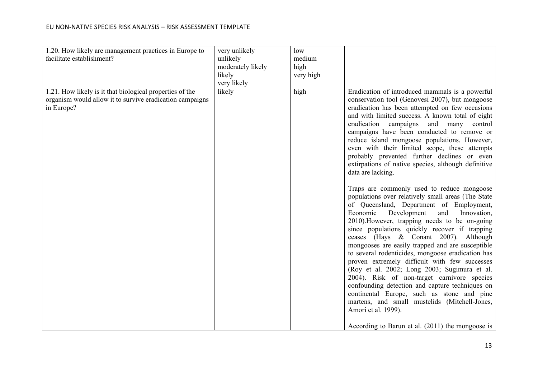| 1.20. How likely are management practices in Europe to<br>facilitate establishment?                                                | very unlikely<br>unlikely<br>moderately likely<br>likely<br>very likely | low<br>medium<br>high<br>very high |                                                                                                                                                                                                                                                                                                                                                                                                                                                                                                                                                                                                                                                                                                                                                                                                                                                                                                                                                                                                                                                                                                                                                                                                                                                                                                                   |
|------------------------------------------------------------------------------------------------------------------------------------|-------------------------------------------------------------------------|------------------------------------|-------------------------------------------------------------------------------------------------------------------------------------------------------------------------------------------------------------------------------------------------------------------------------------------------------------------------------------------------------------------------------------------------------------------------------------------------------------------------------------------------------------------------------------------------------------------------------------------------------------------------------------------------------------------------------------------------------------------------------------------------------------------------------------------------------------------------------------------------------------------------------------------------------------------------------------------------------------------------------------------------------------------------------------------------------------------------------------------------------------------------------------------------------------------------------------------------------------------------------------------------------------------------------------------------------------------|
| 1.21. How likely is it that biological properties of the<br>organism would allow it to survive eradication campaigns<br>in Europe? | likely                                                                  | high                               | Eradication of introduced mammals is a powerful<br>conservation tool (Genovesi 2007), but mongoose<br>eradication has been attempted on few occasions<br>and with limited success. A known total of eight<br>eradication campaigns<br>and many<br>control<br>campaigns have been conducted to remove or<br>reduce island mongoose populations. However,<br>even with their limited scope, these attempts<br>probably prevented further declines or even<br>extirpations of native species, although definitive<br>data are lacking.<br>Traps are commonly used to reduce mongoose<br>populations over relatively small areas (The State<br>of Queensland, Department of Employment,<br>Economic<br>Development<br>and<br>Innovation,<br>2010). However, trapping needs to be on-going<br>since populations quickly recover if trapping<br>ceases (Hays & Conant 2007). Although<br>mongooses are easily trapped and are susceptible<br>to several rodenticides, mongoose eradication has<br>proven extremely difficult with few successes<br>(Roy et al. 2002; Long 2003; Sugimura et al.<br>2004). Risk of non-target carnivore species<br>confounding detection and capture techniques on<br>continental Europe, such as stone and pine<br>martens, and small mustelids (Mitchell-Jones,<br>Amori et al. 1999). |
|                                                                                                                                    |                                                                         |                                    | According to Barun et al. $(2011)$ the mongoose is                                                                                                                                                                                                                                                                                                                                                                                                                                                                                                                                                                                                                                                                                                                                                                                                                                                                                                                                                                                                                                                                                                                                                                                                                                                                |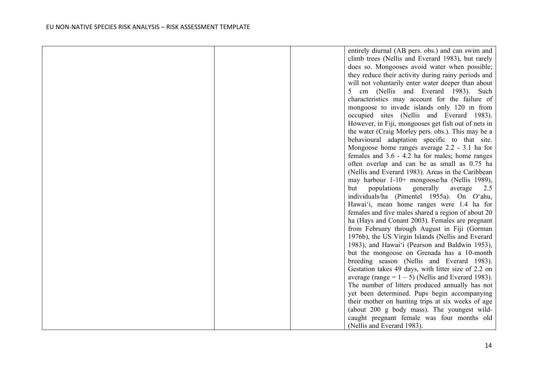|  | entirely diurnal (AB pers. obs.) and can swim and     |
|--|-------------------------------------------------------|
|  | climb trees (Nellis and Everard 1983), but rarely     |
|  | does so. Mongooses avoid water when possible;         |
|  | they reduce their activity during rainy periods and   |
|  | will not voluntarily enter water deeper than about    |
|  | cm (Nellis and Everard 1983). Such                    |
|  | characteristics may account for the failure of        |
|  | mongoose to invade islands only 120 m from            |
|  | occupied sites (Nellis and Everard 1983).             |
|  | However, in Fiji, mongooses get fish out of nets in   |
|  | the water (Craig Morley pers. obs.). This may be a    |
|  | behavioural adaptation specific to that site.         |
|  | Mongoose home ranges average 2.2 - 3.1 ha for         |
|  | females and 3.6 - 4.2 ha for males; home ranges       |
|  | often overlap and can be as small as 0.75 ha          |
|  | (Nellis and Everard 1983). Areas in the Caribbean     |
|  | may harbour 1-10+ mongoose/ha (Nellis 1989),          |
|  | populations<br>generally<br>but<br>average<br>2.5     |
|  | individuals/ha (Pimentel 1955a). On O'ahu,            |
|  | Hawai'i, mean home ranges were 1.4 ha for             |
|  | females and five males shared a region of about 20    |
|  | ha (Hays and Conant 2003). Females are pregnant       |
|  | from February through August in Fiji (Gorman          |
|  | 1976b), the US Virgin Islands (Nellis and Everard     |
|  | 1983), and Hawai'i (Pearson and Baldwin 1953),        |
|  | but the mongoose on Grenada has a 10-month            |
|  | breeding season (Nellis and Everard 1983).            |
|  | Gestation takes 49 days, with litter size of 2.2 on   |
|  | average (range = $1 - 5$ ) (Nellis and Everard 1983). |
|  | The number of litters produced annually has not       |
|  | yet been determined. Pups begin accompanying          |
|  | their mother on hunting trips at six weeks of age     |
|  | (about 200 g body mass). The youngest wild-           |
|  | caught pregnant female was four months old            |
|  | (Nellis and Everard 1983).                            |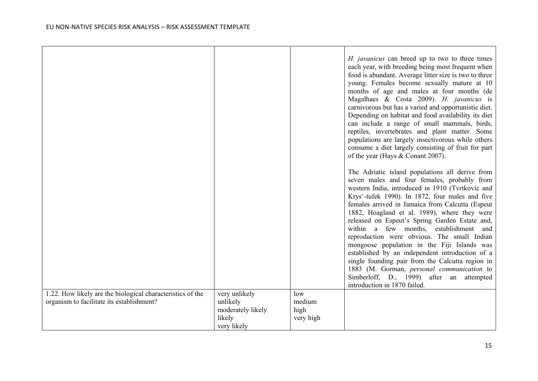|                                                            |                               |                | H. javanicus can breed up to two to three times<br>each year, with breeding being most frequent when<br>food is abundant. Average litter size is two to three<br>young. Females become sexually mature at 10<br>months of age and males at four months (de<br>Magalhaes & Costa 2009). H. javanicus is<br>carnivorous but has a varied and opportunistic diet.<br>Depending on habitat and food availability its diet<br>can include a range of small mammals, birds,<br>reptiles, invertebrates and plant matter. Some<br>populations are largely insectivorous while others<br>consume a diet largely consisting of fruit for part<br>of the year (Hays & Conant 2007).                                                           |
|------------------------------------------------------------|-------------------------------|----------------|-------------------------------------------------------------------------------------------------------------------------------------------------------------------------------------------------------------------------------------------------------------------------------------------------------------------------------------------------------------------------------------------------------------------------------------------------------------------------------------------------------------------------------------------------------------------------------------------------------------------------------------------------------------------------------------------------------------------------------------|
|                                                            |                               |                | The Adriatic island populations all derive from<br>seven males and four females, probably from<br>western India, introduced in 1910 (Tvrtkovic and<br>Krys-tufek 1990). In 1872, four males and five<br>females arrived in Jamaica from Calcutta (Espeut<br>1882, Hoagland et al. 1989), where they were<br>released on Espeut's Spring Garden Estate and,<br>within a few months, establishment and<br>reproduction were obvious. The small Indian<br>mongoose population in the Fiji Islands was<br>established by an independent introduction of a<br>single founding pair from the Calcutta region in<br>1883 (M. Gorman, personal communication to<br>Simberloff, D., 1999) after an attempted<br>introduction in 1870 failed. |
| 1.22. How likely are the biological characteristics of the | very unlikely                 | low            |                                                                                                                                                                                                                                                                                                                                                                                                                                                                                                                                                                                                                                                                                                                                     |
| organism to facilitate its establishment?                  | unlikely<br>moderately likely | medium<br>high |                                                                                                                                                                                                                                                                                                                                                                                                                                                                                                                                                                                                                                                                                                                                     |
|                                                            | likely                        | very high      |                                                                                                                                                                                                                                                                                                                                                                                                                                                                                                                                                                                                                                                                                                                                     |
|                                                            | very likely                   |                |                                                                                                                                                                                                                                                                                                                                                                                                                                                                                                                                                                                                                                                                                                                                     |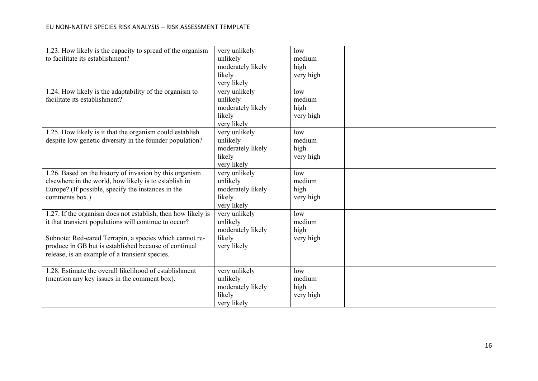| 1.23. How likely is the capacity to spread of the organism<br>to facilitate its establishment?                                                                                                                                                                                              | very unlikely<br>unlikely<br>moderately likely<br>likely<br>very likely | low<br>medium<br>high<br>very high |  |
|---------------------------------------------------------------------------------------------------------------------------------------------------------------------------------------------------------------------------------------------------------------------------------------------|-------------------------------------------------------------------------|------------------------------------|--|
| 1.24. How likely is the adaptability of the organism to<br>facilitate its establishment?                                                                                                                                                                                                    | very unlikely<br>unlikely<br>moderately likely<br>likely<br>very likely | low<br>medium<br>high<br>very high |  |
| 1.25. How likely is it that the organism could establish<br>despite low genetic diversity in the founder population?                                                                                                                                                                        | very unlikely<br>unlikely<br>moderately likely<br>likely<br>very likely | low<br>medium<br>high<br>very high |  |
| 1.26. Based on the history of invasion by this organism<br>elsewhere in the world, how likely is to establish in<br>Europe? (If possible, specify the instances in the<br>comments box.)                                                                                                    | very unlikely<br>unlikely<br>moderately likely<br>likely<br>very likely | low<br>medium<br>high<br>very high |  |
| 1.27. If the organism does not establish, then how likely is<br>it that transient populations will continue to occur?<br>Subnote: Red-eared Terrapin, a species which cannot re-<br>produce in GB but is established because of continual<br>release, is an example of a transient species. | very unlikely<br>unlikely<br>moderately likely<br>likely<br>very likely | low<br>medium<br>high<br>very high |  |
| 1.28. Estimate the overall likelihood of establishment<br>(mention any key issues in the comment box).                                                                                                                                                                                      | very unlikely<br>unlikely<br>moderately likely<br>likely<br>very likely | low<br>medium<br>high<br>very high |  |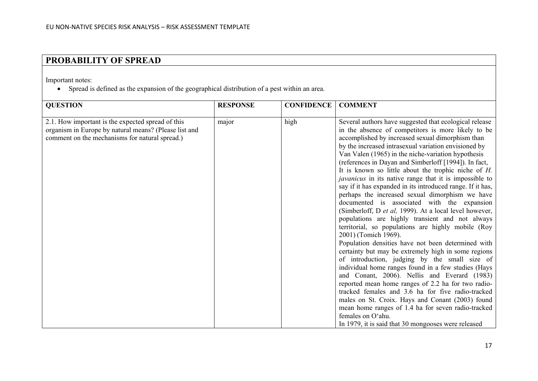# **PROBABILITY OF SPREAD**

Important notes:

• Spread is defined as the expansion of the geographical distribution of a pest within an area.

| <b>QUESTION</b>                                                                                                                                              | <b>RESPONSE</b> | <b>CONFIDENCE</b> | <b>COMMENT</b>                                                                                                                                                                                                                                                                                                                                                                                                                                                                                                                                                                                                                                                                                                                                                                                                                                                                                                                                                                                                                                                                                                                                                                                                                                                                                                                                                                                      |
|--------------------------------------------------------------------------------------------------------------------------------------------------------------|-----------------|-------------------|-----------------------------------------------------------------------------------------------------------------------------------------------------------------------------------------------------------------------------------------------------------------------------------------------------------------------------------------------------------------------------------------------------------------------------------------------------------------------------------------------------------------------------------------------------------------------------------------------------------------------------------------------------------------------------------------------------------------------------------------------------------------------------------------------------------------------------------------------------------------------------------------------------------------------------------------------------------------------------------------------------------------------------------------------------------------------------------------------------------------------------------------------------------------------------------------------------------------------------------------------------------------------------------------------------------------------------------------------------------------------------------------------------|
| 2.1. How important is the expected spread of this<br>organism in Europe by natural means? (Please list and<br>comment on the mechanisms for natural spread.) | major           | high              | Several authors have suggested that ecological release<br>in the absence of competitors is more likely to be<br>accomplished by increased sexual dimorphism than<br>by the increased intrasexual variation envisioned by<br>Van Valen (1965) in the niche-variation hypothesis<br>(references in Dayan and Simberloff [1994]). In fact,<br>It is known so little about the trophic niche of $H$ .<br><i>javanicus</i> in its native range that it is impossible to<br>say if it has expanded in its introduced range. If it has,<br>perhaps the increased sexual dimorphism we have<br>documented is associated with the expansion<br>(Simberloff, D et al, 1999). At a local level however,<br>populations are highly transient and not always<br>territorial, so populations are highly mobile (Roy<br>2001) (Tomich 1969).<br>Population densities have not been determined with<br>certainty but may be extremely high in some regions<br>of introduction, judging by the small size of<br>individual home ranges found in a few studies (Hays<br>and Conant, 2006). Nellis and Everard (1983)<br>reported mean home ranges of 2.2 ha for two radio-<br>tracked females and 3.6 ha for five radio-tracked<br>males on St. Croix. Hays and Conant (2003) found<br>mean home ranges of 1.4 ha for seven radio-tracked<br>females on O'ahu.<br>In 1979, it is said that 30 mongooses were released |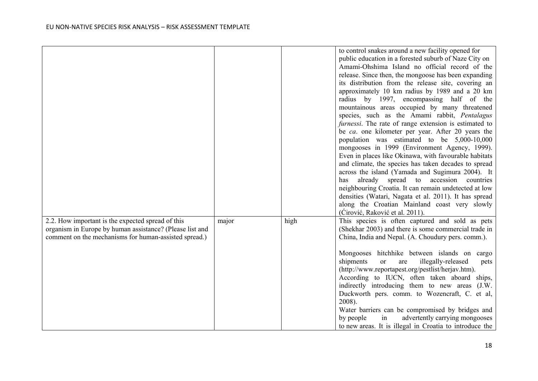|                                                                                                                                                                        |       |      | to control snakes around a new facility opened for<br>public education in a forested suburb of Naze City on<br>Amami-Ohshima Island no official record of the<br>release. Since then, the mongoose has been expanding<br>its distribution from the release site, covering an<br>approximately 10 km radius by 1989 and a 20 km<br>radius by 1997, encompassing half of the<br>mountainous areas occupied by many threatened<br>species, such as the Amami rabbit, Pentalagus<br>furnessi. The rate of range extension is estimated to<br>be ca. one kilometer per year. After 20 years the<br>population was estimated to be 5,000-10,000<br>mongooses in 1999 (Environment Agency, 1999).<br>Even in places like Okinawa, with favourable habitats<br>and climate, the species has taken decades to spread<br>across the island (Yamada and Sugimura 2004). It<br>already spread to accession<br>countries<br>has<br>neighbouring Croatia. It can remain undetected at low<br>densities (Watari, Nagata et al. 2011). It has spread<br>along the Croatian Mainland coast very slowly<br>(Cirović, Raković et al. 2011). |
|------------------------------------------------------------------------------------------------------------------------------------------------------------------------|-------|------|--------------------------------------------------------------------------------------------------------------------------------------------------------------------------------------------------------------------------------------------------------------------------------------------------------------------------------------------------------------------------------------------------------------------------------------------------------------------------------------------------------------------------------------------------------------------------------------------------------------------------------------------------------------------------------------------------------------------------------------------------------------------------------------------------------------------------------------------------------------------------------------------------------------------------------------------------------------------------------------------------------------------------------------------------------------------------------------------------------------------------|
| 2.2. How important is the expected spread of this<br>organism in Europe by human assistance? (Please list and<br>comment on the mechanisms for human-assisted spread.) | major | high | This species is often captured and sold as pets<br>(Shekhar 2003) and there is some commercial trade in<br>China, India and Nepal. (A. Choudury pers. comm.).                                                                                                                                                                                                                                                                                                                                                                                                                                                                                                                                                                                                                                                                                                                                                                                                                                                                                                                                                            |
|                                                                                                                                                                        |       |      | Mongooses hitchhike between islands on cargo<br>shipments<br>illegally-released<br>or<br>are<br>pets<br>(http://www.reportapest.org/pestlist/herjav.htm).<br>According to IUCN, often taken aboard<br>ships,<br>indirectly introducing them to new areas (J.W.<br>Duckworth pers. comm. to Wozencraft, C. et al,<br>2008).<br>Water barriers can be compromised by bridges and<br>advertently carrying mongooses<br>by people<br>in<br>to new areas. It is illegal in Croatia to introduce the                                                                                                                                                                                                                                                                                                                                                                                                                                                                                                                                                                                                                           |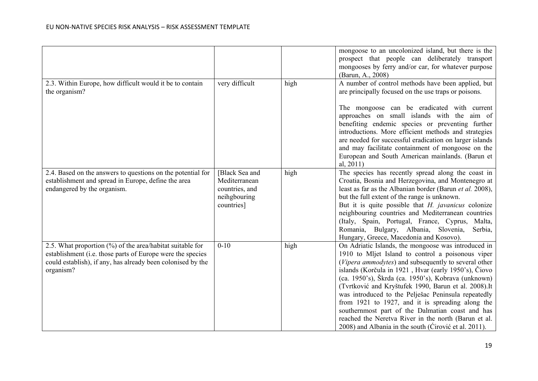|                                                                                                                                                                                                     |                                                                                 |      | mongoose to an uncolonized island, but there is the<br>prospect that people can deliberately transport<br>mongooses by ferry and/or car, for whatever purpose<br>(Barun, A., 2008)                                                                                                                                                                                                                                                                                                                                                                                                                                      |
|-----------------------------------------------------------------------------------------------------------------------------------------------------------------------------------------------------|---------------------------------------------------------------------------------|------|-------------------------------------------------------------------------------------------------------------------------------------------------------------------------------------------------------------------------------------------------------------------------------------------------------------------------------------------------------------------------------------------------------------------------------------------------------------------------------------------------------------------------------------------------------------------------------------------------------------------------|
| 2.3. Within Europe, how difficult would it be to contain<br>the organism?                                                                                                                           | very difficult                                                                  | high | A number of control methods have been applied, but<br>are principally focused on the use traps or poisons.                                                                                                                                                                                                                                                                                                                                                                                                                                                                                                              |
|                                                                                                                                                                                                     |                                                                                 |      | The mongoose can be eradicated with current<br>approaches on small islands with the aim of<br>benefiting endemic species or preventing further<br>introductions. More efficient methods and strategies<br>are needed for successful eradication on larger islands<br>and may facilitate containment of mongoose on the<br>European and South American mainlands. (Barun et<br>al, $2011$ )                                                                                                                                                                                                                              |
| 2.4. Based on the answers to questions on the potential for<br>establishment and spread in Europe, define the area<br>endangered by the organism.                                                   | [Black Sea and<br>Mediterranean<br>countries, and<br>neihgbouring<br>countries] | high | The species has recently spread along the coast in<br>Croatia, Bosnia and Herzegovina, and Montenegro at<br>least as far as the Albanian border (Barun et al. 2008),<br>but the full extent of the range is unknown.<br>But it is quite possible that H. javanicus colonize<br>neighbouring countries and Mediterranean countries<br>(Italy, Spain, Portugal, France, Cyprus, Malta,<br>Romania, Bulgary, Albania, Slovenia,<br>Serbia,<br>Hungary, Greece, Macedonia and Kosovo).                                                                                                                                      |
| 2.5. What proportion (%) of the area/habitat suitable for<br>establishment (i.e. those parts of Europe were the species<br>could establish), if any, has already been colonised by the<br>organism? | $0 - 10$                                                                        | high | On Adriatic Islands, the mongoose was introduced in<br>1910 to Mljet Island to control a poisonous viper<br>(Vipera ammodytes) and subsequently to several other<br>islands (Korčula in 1921, Hvar (early 1950's), Čiovo<br>(ca. 1950's), Škrda (ca. 1950's), Kobrava (unknown)<br>(Tvrtković and Kryštufek 1990, Barun et al. 2008).It<br>was introduced to the Pelješac Peninsula repeatedly<br>from 1921 to 1927, and it is spreading along the<br>southernmost part of the Dalmatian coast and has<br>reached the Neretva River in the north (Barun et al.<br>2008) and Albania in the south (Cirović et al. 2011). |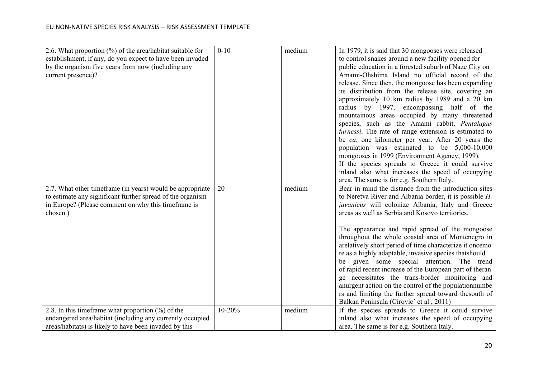| 2.6. What proportion $(\%)$ of the area/habitat suitable for | $0-10$     | medium | In 1979, it is said that 30 mongooses were released                                                        |
|--------------------------------------------------------------|------------|--------|------------------------------------------------------------------------------------------------------------|
| establishment, if any, do you expect to have been invaded    |            |        | to control snakes around a new facility opened for                                                         |
| by the organism five years from now (including any           |            |        | public education in a forested suburb of Naze City on                                                      |
| current presence)?                                           |            |        | Amami-Ohshima Island no official record of the                                                             |
|                                                              |            |        | release. Since then, the mongoose has been expanding                                                       |
|                                                              |            |        | its distribution from the release site, covering an                                                        |
|                                                              |            |        | approximately 10 km radius by 1989 and a 20 km                                                             |
|                                                              |            |        | radius by 1997, encompassing half of the                                                                   |
|                                                              |            |        | mountainous areas occupied by many threatened                                                              |
|                                                              |            |        | species, such as the Amami rabbit, Pentalagus                                                              |
|                                                              |            |        | furnessi. The rate of range extension is estimated to                                                      |
|                                                              |            |        | be ca. one kilometer per year. After 20 years the                                                          |
|                                                              |            |        | population was estimated to be 5,000-10,000                                                                |
|                                                              |            |        | mongooses in 1999 (Environment Agency, 1999).                                                              |
|                                                              |            |        | If the species spreads to Greece it could survive                                                          |
|                                                              |            |        | inland also what increases the speed of occupying                                                          |
|                                                              |            |        | area. The same is for e.g. Southern Italy.                                                                 |
| 2.7. What other timeframe (in years) would be appropriate    | 20         | medium | Bear in mind the distance from the introduction sites                                                      |
| to estimate any significant further spread of the organism   |            |        | to Neretva River and Albania border, it is possible $H$ .                                                  |
| in Europe? (Please comment on why this timeframe is          |            |        | javanicus will colonize Albania, Italy and Greece                                                          |
| chosen.)                                                     |            |        | areas as well as Serbia and Kosovo territories.                                                            |
|                                                              |            |        |                                                                                                            |
|                                                              |            |        | The appearance and rapid spread of the mongoose                                                            |
|                                                              |            |        | throughout the whole coastal area of Montenegro in                                                         |
|                                                              |            |        | arelatively short period of time characterize it oncemo                                                    |
|                                                              |            |        | re as a highly adaptable, invasive species that should                                                     |
|                                                              |            |        | be given some special attention. The trend                                                                 |
|                                                              |            |        | of rapid recent increase of the European part of theran<br>ge necessitates the trans-border monitoring and |
|                                                              |            |        | anurgent action on the control of the population numbe                                                     |
|                                                              |            |        | rs and limiting the further spread toward thesouth of                                                      |
|                                                              |            |        | Balkan Peninsula (Cirovic' et al, 2011)                                                                    |
| 2.8. In this time frame what proportion $(\%)$ of the        | $10 - 20%$ | medium | If the species spreads to Greece it could survive                                                          |
| endangered area/habitat (including any currently occupied    |            |        | inland also what increases the speed of occupying                                                          |
| areas/habitats) is likely to have been invaded by this       |            |        | area. The same is for e.g. Southern Italy.                                                                 |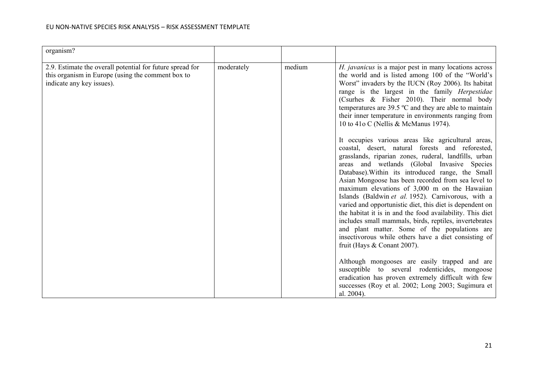| organism?                                                                                                                                   |            |        |                                                                                                                                                                                                                                                                                                                                                                                                                                                                                                                                                                                                                                                                                                                                                                                                                                                                                                                                                                                                                                                                                                                                                                                                                       |
|---------------------------------------------------------------------------------------------------------------------------------------------|------------|--------|-----------------------------------------------------------------------------------------------------------------------------------------------------------------------------------------------------------------------------------------------------------------------------------------------------------------------------------------------------------------------------------------------------------------------------------------------------------------------------------------------------------------------------------------------------------------------------------------------------------------------------------------------------------------------------------------------------------------------------------------------------------------------------------------------------------------------------------------------------------------------------------------------------------------------------------------------------------------------------------------------------------------------------------------------------------------------------------------------------------------------------------------------------------------------------------------------------------------------|
| 2.9. Estimate the overall potential for future spread for<br>this organism in Europe (using the comment box to<br>indicate any key issues). | moderately | medium | H. javanicus is a major pest in many locations across<br>the world and is listed among 100 of the "World's<br>Worst" invaders by the IUCN (Roy 2006). Its habitat<br>range is the largest in the family <i>Herpestidae</i><br>(Csurhes & Fisher 2010). Their normal body<br>temperatures are $39.5 \,^{\circ}\text{C}$ and they are able to maintain<br>their inner temperature in environments ranging from<br>10 to 41o C (Nellis & McManus 1974).<br>It occupies various areas like agricultural areas,<br>coastal, desert, natural forests and reforested,<br>grasslands, riparian zones, ruderal, landfills, urban<br>areas and wetlands (Global Invasive Species<br>Database). Within its introduced range, the Small<br>Asian Mongoose has been recorded from sea level to<br>maximum elevations of 3,000 m on the Hawaiian<br>Islands (Baldwin et al. 1952). Carnivorous, with a<br>varied and opportunistic diet, this diet is dependent on<br>the habitat it is in and the food availability. This diet<br>includes small mammals, birds, reptiles, invertebrates<br>and plant matter. Some of the populations are<br>insectivorous while others have a diet consisting of<br>fruit (Hays $&$ Conant 2007). |
|                                                                                                                                             |            |        | Although mongooses are easily trapped and are<br>susceptible to several rodenticides, mongoose<br>eradication has proven extremely difficult with few<br>successes (Roy et al. 2002; Long 2003; Sugimura et<br>al. 2004).                                                                                                                                                                                                                                                                                                                                                                                                                                                                                                                                                                                                                                                                                                                                                                                                                                                                                                                                                                                             |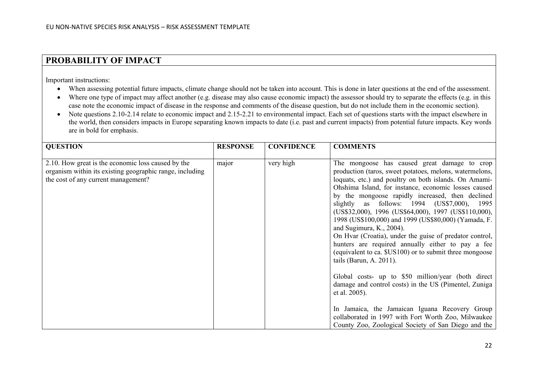### **PROBABILITY OF IMPACT**

Important instructions:

- When assessing potential future impacts, climate change should not be taken into account. This is done in later questions at the end of the assessment.
- Where one type of impact may affect another (e.g. disease may also cause economic impact) the assessor should try to separate the effects (e.g. in this case note the economic impact of disease in the response and comments of the disease question, but do not include them in the economic section).
- Note questions 2.10-2.14 relate to economic impact and 2.15-2.21 to environmental impact. Each set of questions starts with the impact elsewhere in the world, then considers impacts in Europe separating known impacts to date (i.e. past and current impacts) from potential future impacts. Key words are in bold for emphasis.

| <b>QUESTION</b>                                                                                                                                       | <b>RESPONSE</b> | <b>CONFIDENCE</b> | <b>COMMENTS</b>                                                                                                                                                                                                                                                                                                                                                                                                                                                                                                                                                                                                                                                                                                                                                                                                                                                                                                                                                               |
|-------------------------------------------------------------------------------------------------------------------------------------------------------|-----------------|-------------------|-------------------------------------------------------------------------------------------------------------------------------------------------------------------------------------------------------------------------------------------------------------------------------------------------------------------------------------------------------------------------------------------------------------------------------------------------------------------------------------------------------------------------------------------------------------------------------------------------------------------------------------------------------------------------------------------------------------------------------------------------------------------------------------------------------------------------------------------------------------------------------------------------------------------------------------------------------------------------------|
| 2.10. How great is the economic loss caused by the<br>organism within its existing geographic range, including<br>the cost of any current management? | major           | very high         | The mongoose has caused great damage to crop<br>production (taros, sweet potatoes, melons, watermelons,<br>loquats, etc.) and poultry on both islands. On Amami-<br>Ohshima Island, for instance, economic losses caused<br>by the mongoose rapidly increased, then declined<br>slightly as follows: 1994 (US\$7,000), 1995<br>(US\$32,000), 1996 (US\$64,000), 1997 (US\$110,000),<br>1998 (US\$100,000) and 1999 (US\$80,000) (Yamada, F.<br>and Sugimura, K., 2004).<br>On Hvar (Croatia), under the guise of predator control,<br>hunters are required annually either to pay a fee<br>(equivalent to ca. \$US100) or to submit three mongoose<br>tails (Barun, A. 2011).<br>Global costs- up to \$50 million/year (both direct<br>damage and control costs) in the US (Pimentel, Zuniga<br>et al. 2005).<br>In Jamaica, the Jamaican Iguana Recovery Group<br>collaborated in 1997 with Fort Worth Zoo, Milwaukee<br>County Zoo, Zoological Society of San Diego and the |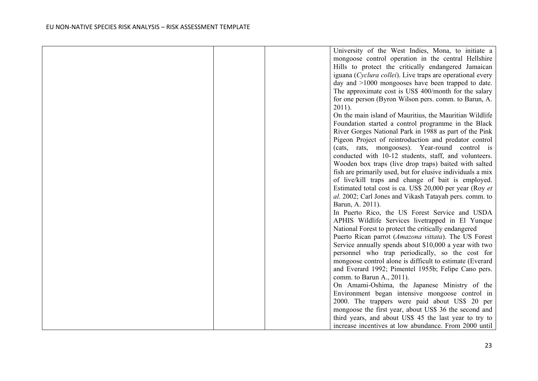|  | University of the West Indies, Mona, to initiate a         |  |
|--|------------------------------------------------------------|--|
|  | mongoose control operation in the central Hellshire        |  |
|  | Hills to protect the critically endangered Jamaican        |  |
|  | iguana (Cyclura collei). Live traps are operational every  |  |
|  | day and $>1000$ mongooses have been trapped to date.       |  |
|  | The approximate cost is US\$ 400/month for the salary      |  |
|  | for one person (Byron Wilson pers. comm. to Barun, A.      |  |
|  | $2011$ ).                                                  |  |
|  | On the main island of Mauritius, the Mauritian Wildlife    |  |
|  | Foundation started a control programme in the Black        |  |
|  | River Gorges National Park in 1988 as part of the Pink     |  |
|  | Pigeon Project of reintroduction and predator control      |  |
|  | (cats, rats, mongooses). Year-round control is             |  |
|  | conducted with 10-12 students, staff, and volunteers.      |  |
|  | Wooden box traps (live drop traps) baited with salted      |  |
|  | fish are primarily used, but for elusive individuals a mix |  |
|  | of live/kill traps and change of bait is employed.         |  |
|  | Estimated total cost is ca. US\$ 20,000 per year (Roy et   |  |
|  | al. 2002; Carl Jones and Vikash Tatayah pers. comm. to     |  |
|  | Barun, A. 2011).                                           |  |
|  | In Puerto Rico, the US Forest Service and USDA             |  |
|  | APHIS Wildlife Services livetrapped in El Yunque           |  |
|  | National Forest to protect the critically endangered       |  |
|  | Puerto Rican parrot (Amazona vittata). The US Forest       |  |
|  | Service annually spends about \$10,000 a year with two     |  |
|  | personnel who trap periodically, so the cost for           |  |
|  | mongoose control alone is difficult to estimate (Everard   |  |
|  | and Everard 1992; Pimentel 1955b; Felipe Cano pers.        |  |
|  | comm. to Barun A., 2011).                                  |  |
|  | On Amami-Oshima, the Japanese Ministry of the              |  |
|  | Environment began intensive mongoose control in            |  |
|  | 2000. The trappers were paid about US\$ 20 per             |  |
|  | mongoose the first year, about US\$ 36 the second and      |  |
|  | third years, and about US\$ 45 the last year to try to     |  |
|  | increase incentives at low abundance. From 2000 until      |  |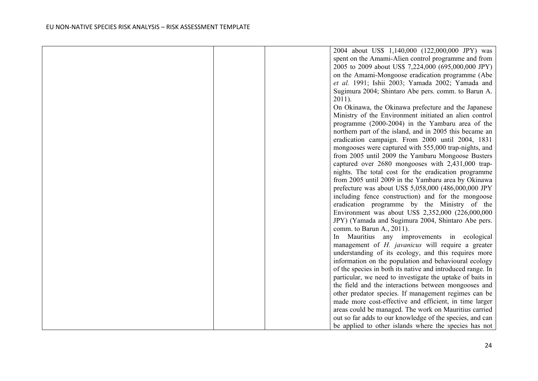|  | 2004 about US\$ 1,140,000 (122,000,000 JPY) was            |
|--|------------------------------------------------------------|
|  | spent on the Amami-Alien control programme and from        |
|  | 2005 to 2009 about US\$ 7,224,000 (695,000,000 JPY)        |
|  | on the Amami-Mongoose eradication programme (Abe           |
|  | et al. 1991; Ishii 2003; Yamada 2002; Yamada and           |
|  | Sugimura 2004; Shintaro Abe pers. comm. to Barun A.        |
|  | $2011$ ).                                                  |
|  | On Okinawa, the Okinawa prefecture and the Japanese        |
|  | Ministry of the Environment initiated an alien control     |
|  | programme (2000-2004) in the Yambaru area of the           |
|  | northern part of the island, and in 2005 this became an    |
|  | eradication campaign. From 2000 until 2004, 1831           |
|  | mongooses were captured with 555,000 trap-nights, and      |
|  | from 2005 until 2009 the Yambaru Mongoose Busters          |
|  | captured over 2680 mongooses with 2,431,000 trap-          |
|  | nights. The total cost for the eradication programme       |
|  | from 2005 until 2009 in the Yambaru area by Okinawa        |
|  | prefecture was about US\$ 5,058,000 (486,000,000 JPY       |
|  | including fence construction) and for the mongoose         |
|  | eradication programme by the Ministry of the               |
|  | Environment was about US\$ 2,352,000 (226,000,000          |
|  | JPY) (Yamada and Sugimura 2004, Shintaro Abe pers.         |
|  | comm. to Barun A., 2011).                                  |
|  | Mauritius any improvements in ecological<br>ln             |
|  | management of <i>H. javanicus</i> will require a greater   |
|  | understanding of its ecology, and this requires more       |
|  | information on the population and behavioural ecology      |
|  | of the species in both its native and introduced range. In |
|  | particular, we need to investigate the uptake of baits in  |
|  | the field and the interactions between mongooses and       |
|  | other predator species. If management regimes can be       |
|  | made more cost-effective and efficient, in time larger     |
|  | areas could be managed. The work on Mauritius carried      |
|  | out so far adds to our knowledge of the species, and can   |
|  | be applied to other islands where the species has not      |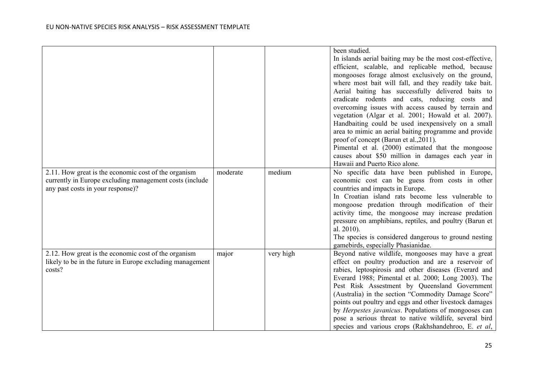| 2.11. How great is the economic cost of the organism<br>currently in Europe excluding management costs (include<br>any past costs in your response)? | moderate | medium    | been studied.<br>In islands aerial baiting may be the most cost-effective,<br>efficient, scalable, and replicable method, because<br>mongooses forage almost exclusively on the ground,<br>where most bait will fall, and they readily take bait.<br>Aerial baiting has successfully delivered baits to<br>eradicate rodents and cats, reducing costs and<br>overcoming issues with access caused by terrain and<br>vegetation (Algar et al. 2001; Howald et al. 2007).<br>Handbaiting could be used inexpensively on a small<br>area to mimic an aerial baiting programme and provide<br>proof of concept (Barun et al., 2011).<br>Pimental et al. (2000) estimated that the mongoose<br>causes about \$50 million in damages each year in<br>Hawaii and Puerto Rico alone.<br>No specific data have been published in Europe,<br>economic cost can be guess from costs in other<br>countries and impacts in Europe.<br>In Croatian island rats become less vulnerable to<br>mongoose predation through modification of their<br>activity time, the mongoose may increase predation<br>pressure on amphibians, reptiles, and poultry (Barun et<br>al. 2010). |
|------------------------------------------------------------------------------------------------------------------------------------------------------|----------|-----------|---------------------------------------------------------------------------------------------------------------------------------------------------------------------------------------------------------------------------------------------------------------------------------------------------------------------------------------------------------------------------------------------------------------------------------------------------------------------------------------------------------------------------------------------------------------------------------------------------------------------------------------------------------------------------------------------------------------------------------------------------------------------------------------------------------------------------------------------------------------------------------------------------------------------------------------------------------------------------------------------------------------------------------------------------------------------------------------------------------------------------------------------------------------|
|                                                                                                                                                      |          |           | The species is considered dangerous to ground nesting<br>gamebirds, especially Phasianidae.                                                                                                                                                                                                                                                                                                                                                                                                                                                                                                                                                                                                                                                                                                                                                                                                                                                                                                                                                                                                                                                                   |
| 2.12. How great is the economic cost of the organism<br>likely to be in the future in Europe excluding management<br>costs?                          | major    | very high | Beyond native wildlife, mongooses may have a great<br>effect on poultry production and are a reservoir of<br>rabies, leptospirosis and other diseases (Everard and<br>Everard 1988; Pimental et al. 2000; Long 2003). The<br>Pest Risk Assestment by Queensland Government<br>(Australia) in the section "Commodity Damage Score"<br>points out poultry and eggs and other livestock damages<br>by Herpestes javanicus. Populations of mongooses can<br>pose a serious threat to native wildlife, several bird<br>species and various crops (Rakhshandehroo, E. et al,                                                                                                                                                                                                                                                                                                                                                                                                                                                                                                                                                                                        |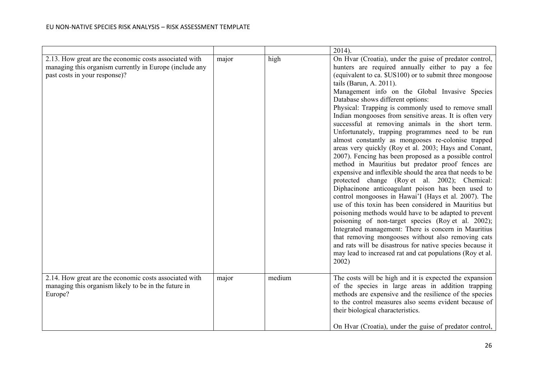|                                                                                                                                                    |       |        | $2014$ ).                                                                                                                                                                                                                                                                                                                                                                                                                                                                                                                                                                                                                                                                                                                                                                                                                                                                                                                                                                                                                                                                                                                                                                                                                                                                                                                                                                                                |
|----------------------------------------------------------------------------------------------------------------------------------------------------|-------|--------|----------------------------------------------------------------------------------------------------------------------------------------------------------------------------------------------------------------------------------------------------------------------------------------------------------------------------------------------------------------------------------------------------------------------------------------------------------------------------------------------------------------------------------------------------------------------------------------------------------------------------------------------------------------------------------------------------------------------------------------------------------------------------------------------------------------------------------------------------------------------------------------------------------------------------------------------------------------------------------------------------------------------------------------------------------------------------------------------------------------------------------------------------------------------------------------------------------------------------------------------------------------------------------------------------------------------------------------------------------------------------------------------------------|
| 2.13. How great are the economic costs associated with<br>managing this organism currently in Europe (include any<br>past costs in your response)? | major | high   | On Hvar (Croatia), under the guise of predator control,<br>hunters are required annually either to pay a fee<br>(equivalent to ca. \$US100) or to submit three mongoose<br>tails (Barun, A. 2011).<br>Management info on the Global Invasive Species<br>Database shows different options:<br>Physical: Trapping is commonly used to remove small<br>Indian mongooses from sensitive areas. It is often very<br>successful at removing animals in the short term.<br>Unfortunately, trapping programmes need to be run<br>almost constantly as mongooses re-colonise trapped<br>areas very quickly (Roy et al. 2003; Hays and Conant,<br>2007). Fencing has been proposed as a possible control<br>method in Mauritius but predator proof fences are<br>expensive and inflexible should the area that needs to be<br>protected change (Roy et al. 2002); Chemical:<br>Diphacinone anticoagulant poison has been used to<br>control mongooses in Hawai'I (Hays et al. 2007). The<br>use of this toxin has been considered in Mauritius but<br>poisoning methods would have to be adapted to prevent<br>poisoning of non-target species (Roy et al. 2002);<br>Integrated management: There is concern in Mauritius<br>that removing mongooses without also removing cats<br>and rats will be disastrous for native species because it<br>may lead to increased rat and cat populations (Roy et al.<br>2002) |
| 2.14. How great are the economic costs associated with<br>managing this organism likely to be in the future in<br>Europe?                          | major | medium | The costs will be high and it is expected the expansion<br>of the species in large areas in addition trapping<br>methods are expensive and the resilience of the species<br>to the control measures also seems evident because of<br>their biological characteristics.<br>On Hvar (Croatia), under the guise of predator control,                                                                                                                                                                                                                                                                                                                                                                                                                                                                                                                                                                                                                                                                                                                                                                                                                                                                                                                                                                                                                                                                        |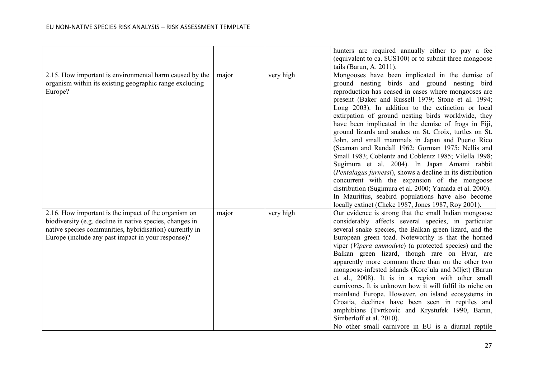|                                                                                                                                                                                                                                   |       |           | hunters are required annually either to pay a fee<br>(equivalent to ca. \$US100) or to submit three mongoose                                                                                                                                                                                                                                                                                                                                                                                                                                                                                                                                                                                                                                                                                                                                                                                         |
|-----------------------------------------------------------------------------------------------------------------------------------------------------------------------------------------------------------------------------------|-------|-----------|------------------------------------------------------------------------------------------------------------------------------------------------------------------------------------------------------------------------------------------------------------------------------------------------------------------------------------------------------------------------------------------------------------------------------------------------------------------------------------------------------------------------------------------------------------------------------------------------------------------------------------------------------------------------------------------------------------------------------------------------------------------------------------------------------------------------------------------------------------------------------------------------------|
| 2.15. How important is environmental harm caused by the                                                                                                                                                                           | major | very high | tails (Barun, A. 2011).<br>Mongooses have been implicated in the demise of                                                                                                                                                                                                                                                                                                                                                                                                                                                                                                                                                                                                                                                                                                                                                                                                                           |
| organism within its existing geographic range excluding<br>Europe?                                                                                                                                                                |       |           | ground nesting birds and ground nesting bird<br>reproduction has ceased in cases where mongooses are<br>present (Baker and Russell 1979; Stone et al. 1994;<br>Long 2003). In addition to the extinction or local<br>extirpation of ground nesting birds worldwide, they<br>have been implicated in the demise of frogs in Fiji,<br>ground lizards and snakes on St. Croix, turtles on St.<br>John, and small mammals in Japan and Puerto Rico<br>(Seaman and Randall 1962; Gorman 1975; Nellis and<br>Small 1983; Coblentz and Coblentz 1985; Vilella 1998;<br>Sugimura et al. 2004). In Japan Amami rabbit<br>(Pentalagus furnessi), shows a decline in its distribution<br>concurrent with the expansion of the mongoose<br>distribution (Sugimura et al. 2000; Yamada et al. 2000).<br>In Mauritius, seabird populations have also become<br>locally extinct (Cheke 1987, Jones 1987, Roy 2001). |
| 2.16. How important is the impact of the organism on<br>biodiversity (e.g. decline in native species, changes in<br>native species communities, hybridisation) currently in<br>Europe (include any past impact in your response)? | major | very high | Our evidence is strong that the small Indian mongoose<br>considerably affects several species, in particular<br>several snake species, the Balkan green lizard, and the<br>European green toad. Noteworthy is that the horned<br>viper (Vipera ammodyte) (a protected species) and the<br>Balkan green lizard, though rare on Hvar, are<br>apparently more common there than on the other two<br>mongoose-infested islands (Korc ula and Mljet) (Barun<br>et al., 2008). It is in a region with other small<br>carnivores. It is unknown how it will fulfil its niche on<br>mainland Europe. However, on island ecosystems in<br>Croatia, declines have been seen in reptiles and<br>amphibians (Tvrtkovic and Krystufek 1990, Barun,<br>Simberloff et al. 2010).<br>No other small carnivore in EU is a diurnal reptile                                                                             |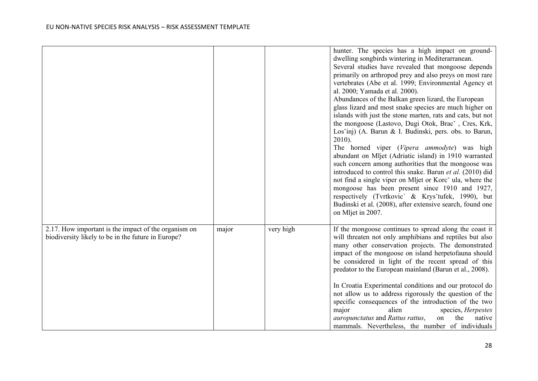|                                                                                                            |       |           | hunter. The species has a high impact on ground-<br>dwelling songbirds wintering in Mediterarranean.<br>Several studies have revealed that mongoose depends<br>primarily on arthropod prey and also preys on most rare<br>vertebrates (Abe et al. 1999; Environmental Agency et<br>al. 2000; Yamada et al. 2000).<br>Abundances of the Balkan green lizard, the European<br>glass lizard and most snake species are much higher on                                                                                                                                                                                                                                                                           |
|------------------------------------------------------------------------------------------------------------|-------|-----------|--------------------------------------------------------------------------------------------------------------------------------------------------------------------------------------------------------------------------------------------------------------------------------------------------------------------------------------------------------------------------------------------------------------------------------------------------------------------------------------------------------------------------------------------------------------------------------------------------------------------------------------------------------------------------------------------------------------|
|                                                                                                            |       |           | islands with just the stone marten, rats and cats, but not<br>the mongoose (Lastovo, Dugi Otok, Brac`, Cres, Krk,<br>Los'inj) (A. Barun & I. Budinski, pers. obs. to Barun,<br>$2010$ ).<br>The horned viper (Vipera ammodyte) was high<br>abundant on Mljet (Adriatic island) in 1910 warranted<br>such concern among authorities that the mongoose was<br>introduced to control this snake. Barun et al. (2010) did<br>not find a single viper on Mljet or Korc <sup><math>\checkmark</math></sup> ula, where the<br>mongoose has been present since 1910 and 1927,<br>respectively (Tvrtkovic' & Krys'tufek, 1990), but<br>Budinski et al. (2008), after extensive search, found one<br>on Mljet in 2007. |
| 2.17. How important is the impact of the organism on<br>biodiversity likely to be in the future in Europe? | major | very high | If the mongoose continues to spread along the coast it<br>will threaten not only amphibians and reptiles but also<br>many other conservation projects. The demonstrated<br>impact of the mongoose on island herpetofauna should<br>be considered in light of the recent spread of this<br>predator to the European mainland (Barun et al., 2008).<br>In Croatia Experimental conditions and our protocol do<br>not allow us to address rigorously the question of the<br>specific consequences of the introduction of the two<br>major<br>alien<br>species, Herpestes<br>auropunctatus and Rattus rattus,<br>on<br>the<br>native<br>mammals. Nevertheless, the number of individuals                         |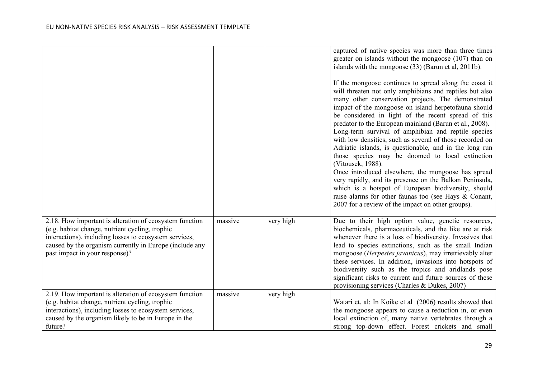|                                                                                                                                                                                                                                                                   |         |           | captured of native species was more than three times<br>greater on islands without the mongoose (107) than on<br>islands with the mongoose (33) (Barun et al, 2011b).<br>If the mongoose continues to spread along the coast it<br>will threaten not only amphibians and reptiles but also<br>many other conservation projects. The demonstrated<br>impact of the mongoose on island herpetofauna should<br>be considered in light of the recent spread of this<br>predator to the European mainland (Barun et al., 2008).<br>Long-term survival of amphibian and reptile species<br>with low densities, such as several of those recorded on<br>Adriatic islands, is questionable, and in the long run<br>those species may be doomed to local extinction<br>(Vitousek, 1988).<br>Once introduced elsewhere, the mongoose has spread<br>very rapidly, and its presence on the Balkan Peninsula,<br>which is a hotspot of European biodiversity, should<br>raise alarms for other faunas too (see Hays & Conant,<br>2007 for a review of the impact on other groups). |
|-------------------------------------------------------------------------------------------------------------------------------------------------------------------------------------------------------------------------------------------------------------------|---------|-----------|-----------------------------------------------------------------------------------------------------------------------------------------------------------------------------------------------------------------------------------------------------------------------------------------------------------------------------------------------------------------------------------------------------------------------------------------------------------------------------------------------------------------------------------------------------------------------------------------------------------------------------------------------------------------------------------------------------------------------------------------------------------------------------------------------------------------------------------------------------------------------------------------------------------------------------------------------------------------------------------------------------------------------------------------------------------------------|
| 2.18. How important is alteration of ecosystem function<br>(e.g. habitat change, nutrient cycling, trophic<br>interactions), including losses to ecosystem services,<br>caused by the organism currently in Europe (include any<br>past impact in your response)? | massive | very high | Due to their high option value, genetic resources,<br>biochemicals, pharmaceuticals, and the like are at risk<br>whenever there is a loss of biodiversity. Invasives that<br>lead to species extinctions, such as the small Indian<br>mongoose (Herpestes javanicus), may irretrievably alter<br>these services. In addition, invasions into hotspots of<br>biodiversity such as the tropics and aridlands pose<br>significant risks to current and future sources of these<br>provisioning services (Charles & Dukes, 2007)                                                                                                                                                                                                                                                                                                                                                                                                                                                                                                                                          |
| 2.19. How important is alteration of ecosystem function<br>(e.g. habitat change, nutrient cycling, trophic<br>interactions), including losses to ecosystem services,<br>caused by the organism likely to be in Europe in the<br>future?                           | massive | very high | Watari et. al: In Koike et al (2006) results showed that<br>the mongoose appears to cause a reduction in, or even<br>local extinction of, many native vertebrates through a<br>strong top-down effect. Forest crickets and small                                                                                                                                                                                                                                                                                                                                                                                                                                                                                                                                                                                                                                                                                                                                                                                                                                      |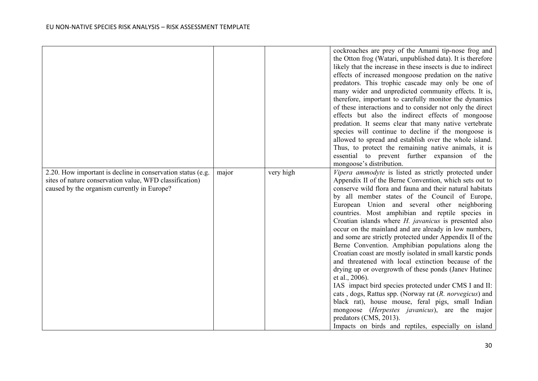|                                                                                                                                                                       |       |           | cockroaches are prey of the Amami tip-nose frog and<br>the Otton frog (Watari, unpublished data). It is therefore<br>likely that the increase in these insects is due to indirect<br>effects of increased mongoose predation on the native<br>predators. This trophic cascade may only be one of<br>many wider and unpredicted community effects. It is,<br>therefore, important to carefully monitor the dynamics<br>of these interactions and to consider not only the direct<br>effects but also the indirect effects of mongoose<br>predation. It seems clear that many native vertebrate<br>species will continue to decline if the mongoose is<br>allowed to spread and establish over the whole island.<br>Thus, to protect the remaining native animals, it is<br>essential to prevent further expansion of the<br>mongoose's distribution.                                                                                                                                                                                                                                            |
|-----------------------------------------------------------------------------------------------------------------------------------------------------------------------|-------|-----------|------------------------------------------------------------------------------------------------------------------------------------------------------------------------------------------------------------------------------------------------------------------------------------------------------------------------------------------------------------------------------------------------------------------------------------------------------------------------------------------------------------------------------------------------------------------------------------------------------------------------------------------------------------------------------------------------------------------------------------------------------------------------------------------------------------------------------------------------------------------------------------------------------------------------------------------------------------------------------------------------------------------------------------------------------------------------------------------------|
| 2.20. How important is decline in conservation status (e.g.<br>sites of nature conservation value, WFD classification)<br>caused by the organism currently in Europe? | major | very high | Vipera ammodyte is listed as strictly protected under<br>Appendix II of the Berne Convention, which sets out to<br>conserve wild flora and fauna and their natural habitats<br>by all member states of the Council of Europe,<br>European Union and several other neighboring<br>countries. Most amphibian and reptile species in<br>Croatian islands where <i>H. javanicus</i> is presented also<br>occur on the mainland and are already in low numbers,<br>and some are strictly protected under Appendix II of the<br>Berne Convention. Amphibian populations along the<br>Croatian coast are mostly isolated in small karstic ponds<br>and threatened with local extinction because of the<br>drying up or overgrowth of these ponds (Janev Hutinec<br>et al., 2006).<br>IAS impact bird species protected under CMS I and II:<br>cats, dogs, Rattus spp. (Norway rat (R. norvegicus) and<br>black rat), house mouse, feral pigs, small Indian<br>mongoose ( <i>Herpestes javanicus</i> ), are the major<br>predators (CMS, 2013).<br>Impacts on birds and reptiles, especially on island |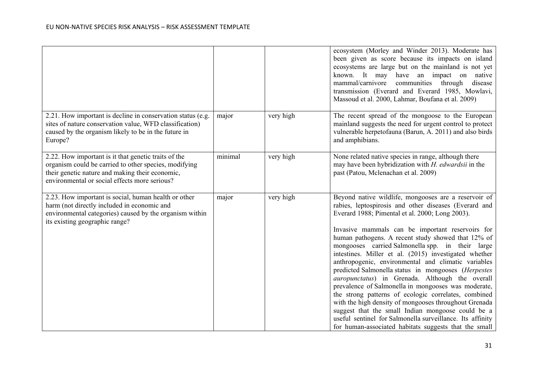|                                                                                                                                                                                                                   |         |           | ecosystem (Morley and Winder 2013). Moderate has<br>been given as score because its impacts on island<br>ecosystems are large but on the mainland is not yet<br>known. It may have an impact on native<br>mammal/carnivore<br>communities through<br>disease<br>transmission (Everard and Everard 1985, Mowlavi,<br>Massoud et al. 2000, Lahmar, Boufana et al. 2009)                                                                                                                                                                                                                                                                                                                                                                                                                                                                                                                                       |
|-------------------------------------------------------------------------------------------------------------------------------------------------------------------------------------------------------------------|---------|-----------|-------------------------------------------------------------------------------------------------------------------------------------------------------------------------------------------------------------------------------------------------------------------------------------------------------------------------------------------------------------------------------------------------------------------------------------------------------------------------------------------------------------------------------------------------------------------------------------------------------------------------------------------------------------------------------------------------------------------------------------------------------------------------------------------------------------------------------------------------------------------------------------------------------------|
| 2.21. How important is decline in conservation status (e.g.<br>sites of nature conservation value, WFD classification)<br>caused by the organism likely to be in the future in<br>Europe?                         | major   | very high | The recent spread of the mongoose to the European<br>mainland suggests the need for urgent control to protect<br>vulnerable herpetofauna (Barun, A. 2011) and also birds<br>and amphibians.                                                                                                                                                                                                                                                                                                                                                                                                                                                                                                                                                                                                                                                                                                                 |
| 2.22. How important is it that genetic traits of the<br>organism could be carried to other species, modifying<br>their genetic nature and making their economic,<br>environmental or social effects more serious? | minimal | very high | None related native species in range, although there<br>may have been hybridization with $H$ . edwardsii in the<br>past (Patou, Mclenachan et al. 2009)                                                                                                                                                                                                                                                                                                                                                                                                                                                                                                                                                                                                                                                                                                                                                     |
| 2.23. How important is social, human health or other<br>harm (not directly included in economic and<br>environmental categories) caused by the organism within<br>its existing geographic range?                  | major   | very high | Beyond native wildlife, mongooses are a reservoir of<br>rabies, leptospirosis and other diseases (Everard and<br>Everard 1988; Pimental et al. 2000; Long 2003).<br>Invasive mammals can be important reservoirs for<br>human pathogens. A recent study showed that 12% of<br>mongooses carried Salmonella spp. in their large<br>intestines. Miller et al. (2015) investigated whether<br>anthropogenic, environmental and climatic variables<br>predicted Salmonella status in mongooses (Herpestes<br>auropunctatus) in Grenada. Although the overall<br>prevalence of Salmonella in mongooses was moderate,<br>the strong patterns of ecologic correlates, combined<br>with the high density of mongooses throughout Grenada<br>suggest that the small Indian mongoose could be a<br>useful sentinel for Salmonella surveillance. Its affinity<br>for human-associated habitats suggests that the small |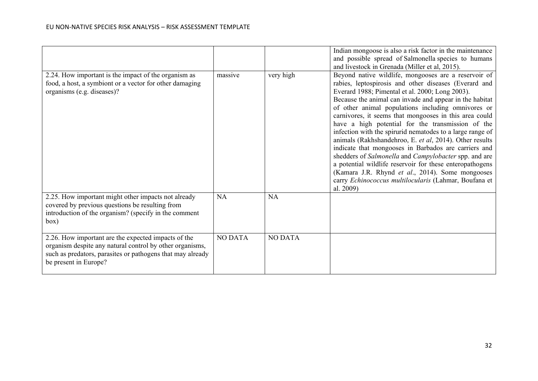|                                                                                                                                                                                                        |                |                | Indian mongoose is also a risk factor in the maintenance<br>and possible spread of Salmonella species to humans<br>and livestock in Grenada (Miller et al, 2015).                                                                                                                                                                                                                                                                                                                                                                                                                                                                                                                                                                                                                                                               |
|--------------------------------------------------------------------------------------------------------------------------------------------------------------------------------------------------------|----------------|----------------|---------------------------------------------------------------------------------------------------------------------------------------------------------------------------------------------------------------------------------------------------------------------------------------------------------------------------------------------------------------------------------------------------------------------------------------------------------------------------------------------------------------------------------------------------------------------------------------------------------------------------------------------------------------------------------------------------------------------------------------------------------------------------------------------------------------------------------|
| 2.24. How important is the impact of the organism as<br>food, a host, a symbiont or a vector for other damaging<br>organisms (e.g. diseases)?                                                          | massive        | very high      | Beyond native wildlife, mongooses are a reservoir of<br>rabies, leptospirosis and other diseases (Everard and<br>Everard 1988; Pimental et al. 2000; Long 2003).<br>Because the animal can invade and appear in the habitat<br>of other animal populations including omnivores or<br>carnivores, it seems that mongooses in this area could<br>have a high potential for the transmission of the<br>infection with the spirurid nematodes to a large range of<br>animals (Rakhshandehroo, E. et al, 2014). Other results<br>indicate that mongooses in Barbados are carriers and<br>shedders of Salmonella and Campylobacter spp. and are<br>a potential wildlife reservoir for these enteropathogens<br>(Kamara J.R. Rhynd et al., 2014). Some mongooses<br>carry Echinococcus multilocularis (Lahmar, Boufana et<br>al. 2009) |
| 2.25. How important might other impacts not already<br>covered by previous questions be resulting from<br>introduction of the organism? (specify in the comment<br>box)                                | NA             | NA             |                                                                                                                                                                                                                                                                                                                                                                                                                                                                                                                                                                                                                                                                                                                                                                                                                                 |
| 2.26. How important are the expected impacts of the<br>organism despite any natural control by other organisms,<br>such as predators, parasites or pathogens that may already<br>be present in Europe? | <b>NO DATA</b> | <b>NO DATA</b> |                                                                                                                                                                                                                                                                                                                                                                                                                                                                                                                                                                                                                                                                                                                                                                                                                                 |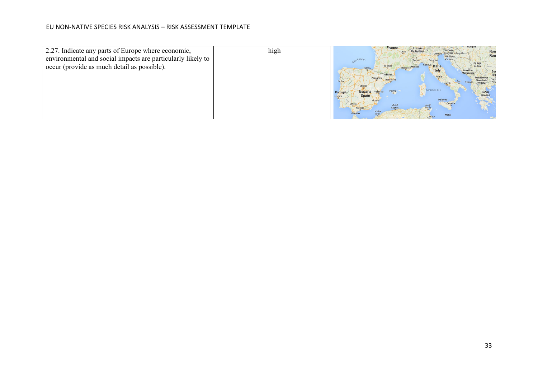| 2.27. Indicate any parts of Europe where economic,<br>environmental and social impacts are particularly likely to<br>occur (provide as much detail as possible). | high | France<br><b>Svizzera</b><br>Switzerland<br>Ron<br>Lvon<br>Ron<br>Србија<br>Toulouse<br>Serbi<br>Italia<br><b>Italy</b><br>Crna Gora<br>Roma<br>Porta<br><b>(FYROM</b><br><b>Tyrrhenian Sea</b><br>Palma<br><b>España</b><br><b>Ελλάς</b><br>Greece<br>Valènci<br>Portugal<br><b>Spain</b><br>Lisboa<br>Palermo<br>الجزائر<br>Algiers<br>Malta |
|------------------------------------------------------------------------------------------------------------------------------------------------------------------|------|------------------------------------------------------------------------------------------------------------------------------------------------------------------------------------------------------------------------------------------------------------------------------------------------------------------------------------------------|
|------------------------------------------------------------------------------------------------------------------------------------------------------------------|------|------------------------------------------------------------------------------------------------------------------------------------------------------------------------------------------------------------------------------------------------------------------------------------------------------------------------------------------------|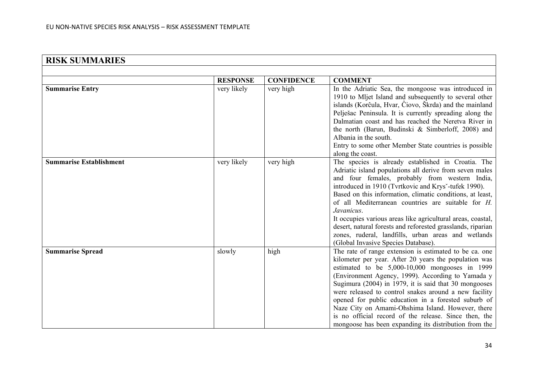| <b>RISK SUMMARIES</b>          |                 |                   |                                                                                                                                                                                                                                                                                                                                                                                                                                                                                                                                                                                      |
|--------------------------------|-----------------|-------------------|--------------------------------------------------------------------------------------------------------------------------------------------------------------------------------------------------------------------------------------------------------------------------------------------------------------------------------------------------------------------------------------------------------------------------------------------------------------------------------------------------------------------------------------------------------------------------------------|
|                                |                 |                   |                                                                                                                                                                                                                                                                                                                                                                                                                                                                                                                                                                                      |
|                                | <b>RESPONSE</b> | <b>CONFIDENCE</b> | <b>COMMENT</b>                                                                                                                                                                                                                                                                                                                                                                                                                                                                                                                                                                       |
| <b>Summarise Entry</b>         | very likely     | very high         | In the Adriatic Sea, the mongoose was introduced in<br>1910 to Mljet Island and subsequently to several other<br>islands (Korĉula, Hvar, Ĉiovo, Škrda) and the mainland<br>Pelješac Peninsula. It is currently spreading along the<br>Dalmatian coast and has reached the Neretva River in<br>the north (Barun, Budinski & Simberloff, 2008) and<br>Albania in the south.<br>Entry to some other Member State countries is possible<br>along the coast.                                                                                                                              |
| <b>Summarise Establishment</b> | very likely     | very high         | The species is already established in Croatia. The<br>Adriatic island populations all derive from seven males<br>and four females, probably from western India,<br>introduced in 1910 (Tvrtkovic and Krys'-tufek 1990).<br>Based on this information, climatic conditions, at least,<br>of all Mediterranean countries are suitable for H.<br>Javanicus.<br>It occupies various areas like agricultural areas, coastal,<br>desert, natural forests and reforested grasslands, riparian<br>zones, ruderal, landfills, urban areas and wetlands<br>(Global Invasive Species Database). |
| <b>Summarise Spread</b>        | slowly          | high              | The rate of range extension is estimated to be ca. one<br>kilometer per year. After 20 years the population was<br>estimated to be 5,000-10,000 mongooses in 1999<br>(Environment Agency, 1999). According to Yamada y<br>Sugimura (2004) in 1979, it is said that 30 mongooses<br>were released to control snakes around a new facility<br>opened for public education in a forested suburb of<br>Naze City on Amami-Ohshima Island. However, there<br>is no official record of the release. Since then, the<br>mongoose has been expanding its distribution from the               |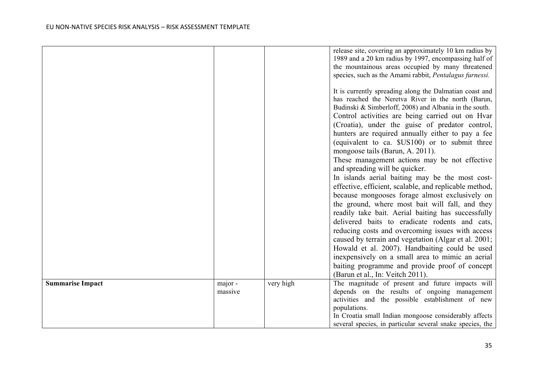|                         |         |           | release site, covering an approximately 10 km radius by<br>1989 and a 20 km radius by 1997, encompassing half of<br>the mountainous areas occupied by many threatened                                                                                                                                                                                                                                                                                                                                                                                                                                                                                                                                                                                                                                                                  |
|-------------------------|---------|-----------|----------------------------------------------------------------------------------------------------------------------------------------------------------------------------------------------------------------------------------------------------------------------------------------------------------------------------------------------------------------------------------------------------------------------------------------------------------------------------------------------------------------------------------------------------------------------------------------------------------------------------------------------------------------------------------------------------------------------------------------------------------------------------------------------------------------------------------------|
|                         |         |           | species, such as the Amami rabbit, Pentalagus furnessi.                                                                                                                                                                                                                                                                                                                                                                                                                                                                                                                                                                                                                                                                                                                                                                                |
|                         |         |           | It is currently spreading along the Dalmatian coast and<br>has reached the Neretva River in the north (Barun,<br>Budinski & Simberloff, 2008) and Albania in the south.<br>Control activities are being carried out on Hvar<br>(Croatia), under the guise of predator control,<br>hunters are required annually either to pay a fee<br>(equivalent to ca. \$US100) or to submit three<br>mongoose tails (Barun, A. 2011).<br>These management actions may be not effective<br>and spreading will be quicker.<br>In islands aerial baiting may be the most cost-<br>effective, efficient, scalable, and replicable method,<br>because mongooses forage almost exclusively on<br>the ground, where most bait will fall, and they<br>readily take bait. Aerial baiting has successfully<br>delivered baits to eradicate rodents and cats, |
|                         |         |           | reducing costs and overcoming issues with access                                                                                                                                                                                                                                                                                                                                                                                                                                                                                                                                                                                                                                                                                                                                                                                       |
|                         |         |           | caused by terrain and vegetation (Algar et al. 2001;                                                                                                                                                                                                                                                                                                                                                                                                                                                                                                                                                                                                                                                                                                                                                                                   |
|                         |         |           | Howald et al. 2007). Handbaiting could be used                                                                                                                                                                                                                                                                                                                                                                                                                                                                                                                                                                                                                                                                                                                                                                                         |
|                         |         |           | inexpensively on a small area to mimic an aerial<br>baiting programme and provide proof of concept                                                                                                                                                                                                                                                                                                                                                                                                                                                                                                                                                                                                                                                                                                                                     |
|                         |         |           | (Barun et al., In: Veitch 2011).                                                                                                                                                                                                                                                                                                                                                                                                                                                                                                                                                                                                                                                                                                                                                                                                       |
| <b>Summarise Impact</b> | major - | very high | The magnitude of present and future impacts will                                                                                                                                                                                                                                                                                                                                                                                                                                                                                                                                                                                                                                                                                                                                                                                       |
|                         | massive |           | depends on the results of ongoing management                                                                                                                                                                                                                                                                                                                                                                                                                                                                                                                                                                                                                                                                                                                                                                                           |
|                         |         |           | activities and the possible establishment of new                                                                                                                                                                                                                                                                                                                                                                                                                                                                                                                                                                                                                                                                                                                                                                                       |
|                         |         |           | populations.                                                                                                                                                                                                                                                                                                                                                                                                                                                                                                                                                                                                                                                                                                                                                                                                                           |
|                         |         |           | In Croatia small Indian mongoose considerably affects                                                                                                                                                                                                                                                                                                                                                                                                                                                                                                                                                                                                                                                                                                                                                                                  |
|                         |         |           | several species, in particular several snake species, the                                                                                                                                                                                                                                                                                                                                                                                                                                                                                                                                                                                                                                                                                                                                                                              |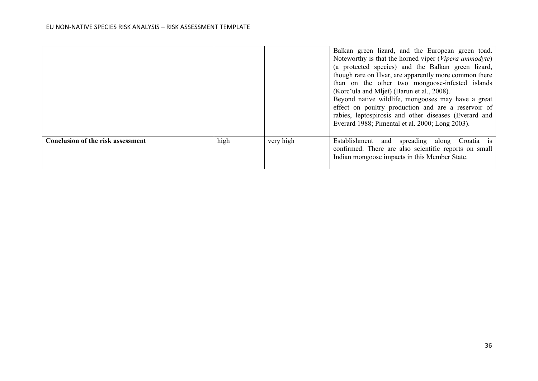|                                          |      |           | Balkan green lizard, and the European green toad.<br>Noteworthy is that the horned viper (Vipera ammodyte)<br>(a protected species) and the Balkan green lizard,<br>though rare on Hvar, are apparently more common there<br>than on the other two mongoose-infested islands<br>(Korc ula and Mljet) (Barun et al., 2008).<br>Beyond native wildlife, mongooses may have a great<br>effect on poultry production and are a reservoir of<br>rabies, leptospirosis and other diseases (Everard and<br>Everard 1988; Pimental et al. 2000; Long 2003). |
|------------------------------------------|------|-----------|-----------------------------------------------------------------------------------------------------------------------------------------------------------------------------------------------------------------------------------------------------------------------------------------------------------------------------------------------------------------------------------------------------------------------------------------------------------------------------------------------------------------------------------------------------|
| <b>Conclusion of the risk assessment</b> | high | very high | Establishment and spreading along Croatia is<br>confirmed. There are also scientific reports on small<br>Indian mongoose impacts in this Member State.                                                                                                                                                                                                                                                                                                                                                                                              |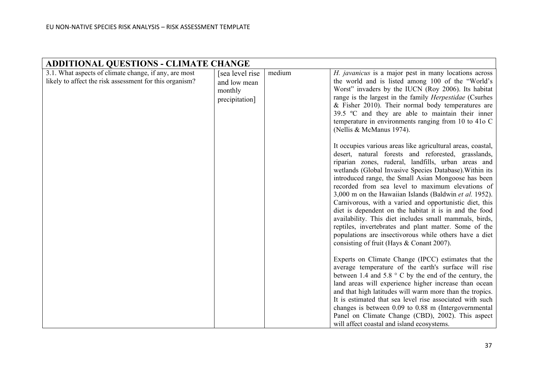| 3.1. What aspects of climate change, if any, are most<br>likely to affect the risk assessment for this organism? | <b>ADDITIONAL QUESTIONS - CLIMATE CHANGE</b>                  |        |                                                                                                                                                                                                                                                                                                                                                                                                                                                                                                                                                                                                                                                                                                                                                                                                                                                                                                                                                                                                                                                                                                                                                                                                                                                                                                                                                                                                                                              |  |  |  |
|------------------------------------------------------------------------------------------------------------------|---------------------------------------------------------------|--------|----------------------------------------------------------------------------------------------------------------------------------------------------------------------------------------------------------------------------------------------------------------------------------------------------------------------------------------------------------------------------------------------------------------------------------------------------------------------------------------------------------------------------------------------------------------------------------------------------------------------------------------------------------------------------------------------------------------------------------------------------------------------------------------------------------------------------------------------------------------------------------------------------------------------------------------------------------------------------------------------------------------------------------------------------------------------------------------------------------------------------------------------------------------------------------------------------------------------------------------------------------------------------------------------------------------------------------------------------------------------------------------------------------------------------------------------|--|--|--|
|                                                                                                                  | [sea level rise]<br>and low mean<br>monthly<br>precipitation] | medium | H. javanicus is a major pest in many locations across<br>the world and is listed among 100 of the "World's<br>Worst" invaders by the IUCN (Roy 2006). Its habitat<br>range is the largest in the family Herpestidae (Csurhes<br>$&$ Fisher 2010). Their normal body temperatures are<br>39.5 $\degree$ C and they are able to maintain their inner<br>temperature in environments ranging from 10 to 41o C<br>(Nellis & McManus 1974).<br>It occupies various areas like agricultural areas, coastal,<br>desert, natural forests and reforested, grasslands,<br>riparian zones, ruderal, landfills, urban areas and<br>wetlands (Global Invasive Species Database). Within its<br>introduced range, the Small Asian Mongoose has been<br>recorded from sea level to maximum elevations of<br>3,000 m on the Hawaiian Islands (Baldwin et al. 1952).<br>Carnivorous, with a varied and opportunistic diet, this<br>diet is dependent on the habitat it is in and the food<br>availability. This diet includes small mammals, birds,<br>reptiles, invertebrates and plant matter. Some of the<br>populations are insectivorous while others have a diet<br>consisting of fruit (Hays & Conant 2007).<br>Experts on Climate Change (IPCC) estimates that the<br>average temperature of the earth's surface will rise<br>between 1.4 and 5.8 $\degree$ C by the end of the century, the<br>land areas will experience higher increase than ocean |  |  |  |
|                                                                                                                  |                                                               |        | and that high latitudes will warm more than the tropics.<br>It is estimated that sea level rise associated with such<br>changes is between 0.09 to 0.88 m (Intergovernmental<br>Panel on Climate Change (CBD), 2002). This aspect<br>will affect coastal and island ecosystems.                                                                                                                                                                                                                                                                                                                                                                                                                                                                                                                                                                                                                                                                                                                                                                                                                                                                                                                                                                                                                                                                                                                                                              |  |  |  |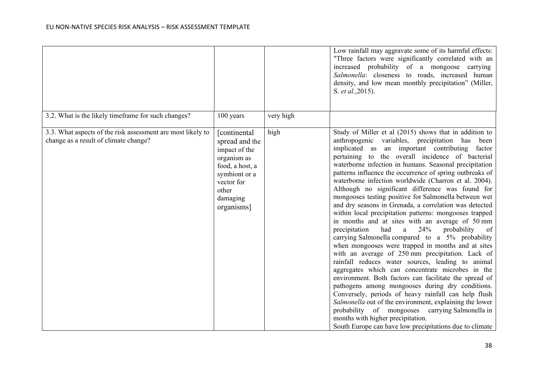|                                                                                                      |                                                                                                                                                     |           | Low rainfall may aggravate some of its harmful effects:<br>"Three factors were significantly correlated with an<br>increased probability of a mongoose carrying<br>Salmonella: closeness to roads, increased human<br>density, and low mean monthly precipitation" (Miller,<br>S. et al., 2015).                                                                                                                                                                                                                                                                                                                                                                                                                                                                                                                                                                                                                                                                                                                                                                                                                                                                                                                                                                                                                                                                                                       |
|------------------------------------------------------------------------------------------------------|-----------------------------------------------------------------------------------------------------------------------------------------------------|-----------|--------------------------------------------------------------------------------------------------------------------------------------------------------------------------------------------------------------------------------------------------------------------------------------------------------------------------------------------------------------------------------------------------------------------------------------------------------------------------------------------------------------------------------------------------------------------------------------------------------------------------------------------------------------------------------------------------------------------------------------------------------------------------------------------------------------------------------------------------------------------------------------------------------------------------------------------------------------------------------------------------------------------------------------------------------------------------------------------------------------------------------------------------------------------------------------------------------------------------------------------------------------------------------------------------------------------------------------------------------------------------------------------------------|
| 3.2. What is the likely timeframe for such changes?                                                  | 100 years                                                                                                                                           | very high |                                                                                                                                                                                                                                                                                                                                                                                                                                                                                                                                                                                                                                                                                                                                                                                                                                                                                                                                                                                                                                                                                                                                                                                                                                                                                                                                                                                                        |
| 3.3. What aspects of the risk assessment are most likely to<br>change as a result of climate change? | [continental<br>spread and the<br>impact of the<br>organism as<br>food, a host, a<br>symbiont or a<br>vector for<br>other<br>damaging<br>organisms] | high      | Study of Miller et al (2015) shows that in addition to<br>anthropogenic variables, precipitation has been<br>implicated as an important contributing factor<br>pertaining to the overall incidence of bacterial<br>waterborne infection in humans. Seasonal precipitation<br>patterns influence the occurrence of spring outbreaks of<br>waterborne infection worldwide (Charron et al. 2004).<br>Although no significant difference was found for<br>mongooses testing positive for Salmonella between wet<br>and dry seasons in Grenada, a correlation was detected<br>within local precipitation patterns: mongooses trapped<br>in months and at sites with an average of 50 mm<br>24%<br>precipitation<br>had<br>probability<br>a<br>of<br>carrying Salmonella compared to a 5% probability<br>when mongooses were trapped in months and at sites<br>with an average of 250 mm precipitation. Lack of<br>rainfall reduces water sources, leading to animal<br>aggregates which can concentrate microbes in the<br>environment. Both factors can facilitate the spread of<br>pathogens among mongooses during dry conditions.<br>Conversely, periods of heavy rainfall can help flush<br>Salmonella out of the environment, explaining the lower<br>probability of mongooses carrying Salmonella in<br>months with higher precipitation.<br>South Europe can have low precipitations due to climate |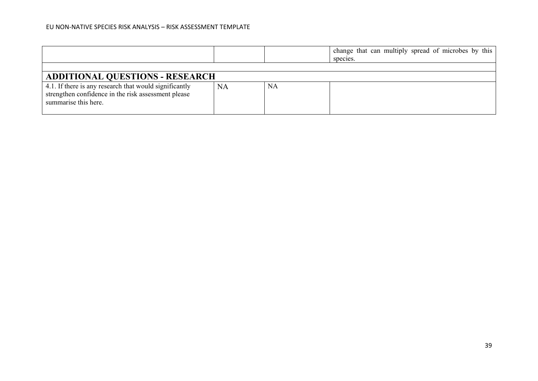|                                                                                                                                       |           |           | change that can multiply spread of microbes by this<br>species. |  |
|---------------------------------------------------------------------------------------------------------------------------------------|-----------|-----------|-----------------------------------------------------------------|--|
|                                                                                                                                       |           |           |                                                                 |  |
| <b>ADDITIONAL QUESTIONS - RESEARCH</b>                                                                                                |           |           |                                                                 |  |
| 4.1. If there is any research that would significantly<br>strengthen confidence in the risk assessment please<br>summarise this here. | <b>NA</b> | <b>NA</b> |                                                                 |  |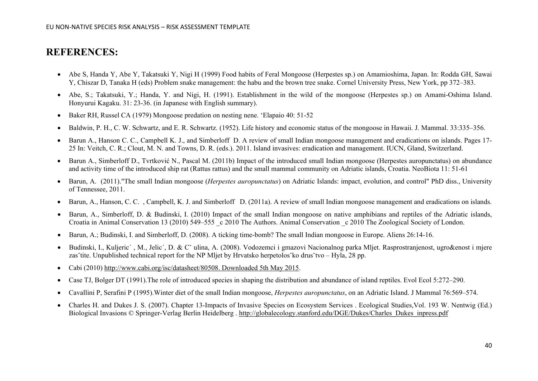## **REFERENCES:**

- Abe S, Handa Y, Abe Y, Takatsuki Y, Nigi H (1999) Food habits of Feral Mongoose (Herpestes sp.) on Amamioshima, Japan. In: Rodda GH, Sawai Y, Chiszar D, Tanaka H (eds) Problem snake management: the habu and the brown tree snake. Cornel University Press, New York, pp 372–383.
- Abe, S.; Takatsuki, Y.; Handa, Y. and Nigi, H. (1991). Establishment in the wild of the mongoose (Herpestes sp.) on Amami-Oshima Island. Honyurui Kagaku. 31: 23-36. (in Japanese with English summary).
- Baker RH, Russel CA (1979) Mongoose predation on nesting nene. 'Elapaio 40: 51-52
- Baldwin, P. H., C. W. Schwartz, and E. R. Schwartz. (1952). Life history and economic status of the mongoose in Hawaii. J. Mammal. 33:335–356.
- Barun A., Hanson C. C., Campbell K. J., and Simberloff D. A review of small Indian mongoose management and eradications on islands. Pages 17- 25 In: Veitch, C. R.; Clout, M. N. and Towns, D. R. (eds.). 2011. Island invasives: eradication and management. IUCN, Gland, Switzerland.
- Barun A., Simberloff D., Tvrtković N., Pascal M. (2011b) Impact of the introduced small Indian mongoose (Herpestes auropunctatus) on abundance and activity time of the introduced ship rat (Rattus rattus) and the small mammal community on Adriatic islands, Croatia. NeoBiota 11: 51-61
- Barun, A. (2011)."The small Indian mongoose (*Herpestes auropunctatus*) on Adriatic Islands: impact, evolution, and control" PhD diss., University of Tennessee, 2011.
- Barun, A., Hanson, C. C. , Campbell, K. J. and Simberloff D. (2011a). A review of small Indian mongoose management and eradications on islands.
- Barun, A., Simberloff, D. & Budinski, I. (2010) Impact of the small Indian mongoose on native amphibians and reptiles of the Adriatic islands, Croatia in Animal Conservation 13 (2010) 549–555  $\vec{c}$  2010 The Authors. Animal Conservation  $\vec{c}$  2010 The Zoological Society of London.
- Barun, A.; Budinski, I. and Simberloff, D. (2008). A ticking time-bomb? The small Indian mongoose in Europe. Aliens 26:14-16.
- Budinski, I., Kuljeric´ , M., Jelic´, D. & Cˇ ulina, A. (2008). Vodozemci i gmazovi Nacionalnog parka Mljet. Rasprostranjenost, ugro&enost i mjere zas<sup>∗</sup>tite. Unpublished technical report for the NP Mljet by Hrvatsko herpetolos<sup>∗</sup>ko drus<sup>∗</sup>tvo – Hyla, 28 pp.
- Cabi (2010) [http://www.cabi.org/isc/datasheet/80508. Downloaded 5th May 2015.](http://www.cabi.org/isc/datasheet/80508.%20Downloaded%205th%20May%202015)
- Case TJ, Bolger DT (1991).The role of introduced species in shaping the distribution and abundance of island reptiles. Evol Ecol 5:272–290.
- Cavallini P, Serafini P (1995).Winter diet of the small Indian mongoose, *Herpestes auropunctatus*, on an Adriatic Island. J Mammal 76:569–574.
- Charles H. and Dukes J. S. (2007). Chapter 13-Impacts of Invasive Species on Ecosystem Services . Ecological Studies, Vol. 193 W. Nentwig (Ed.) Biological Invasions © Springer-Verlag Berlin Heidelberg . [http://globalecology.stanford.edu/DGE/Dukes/Charles\\_Dukes\\_inpress.pdf](http://globalecology.stanford.edu/DGE/Dukes/Charles_Dukes_inpress.pdf)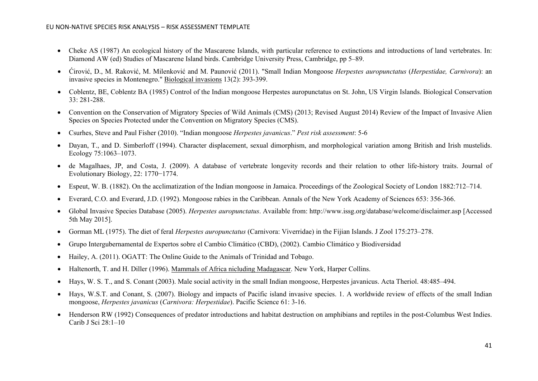- Cheke AS (1987) An ecological history of the Mascarene Islands, with particular reference to extinctions and introductions of land vertebrates. In: Diamond AW (ed) Studies of Mascarene Island birds. Cambridge University Press, Cambridge, pp 5–89.
- Ćirović, D., M. Raković, M. Milenković and M. Paunović (2011). "Small Indian Mongoose *Herpestes auropunctatus* (*Herpestidae, Carnivora*): an invasive species in Montenegro." Biological invasions 13(2): 393-399.
- Coblentz, BE, Coblentz BA (1985) Control of the Indian mongoose Herpestes auropunctatus on St. John, US Virgin Islands. Biological Conservation 33: 281-288.
- Convention on the Conservation of Migratory Species of Wild Animals (CMS) (2013; Revised August 2014) Review of the Impact of Invasive Alien Species on Species Protected under the Convention on Migratory Species (CMS).
- Csurhes, Steve and Paul Fisher (2010). "Indian mongoose *Herpestes javanicus*." *Pest risk assessment*: 5-6
- Dayan, T., and D. Simberloff (1994). Character displacement, sexual dimorphism, and morphological variation among British and Irish mustelids. Ecology 75:1063–1073.
- de Magalhaes, JP, and Costa, J. (2009). A database of vertebrate longevity records and their relation to other life-history traits. Journal of Evolutionary Biology, 22: 1770−1774.
- Espeut, W. B. (1882). On the acclimatization of the Indian mongoose in Jamaica. Proceedings of the Zoological Society of London 1882:712–714.
- Everard, C.O. and Everard, J.D. (1992). Mongoose rabies in the Caribbean. Annals of the New York Academy of Sciences 653: 356-366.
- Global Invasive Species Database (2005). *Herpestes auropunctatus*. Available from: http://www.issg.org/database/welcome/disclaimer.asp [Accessed 5th May 2015].
- Gorman ML (1975). The diet of feral *Herpestes auropunctatus* (Carnivora: Viverridae) in the Fijian Islands. J Zool 175:273–278.
- Grupo Intergubernamental de Expertos sobre el Cambio Climático (CBD), (2002). Cambio Climático y Biodiversidad
- Hailey, A. (2011). OGATT: The Online Guide to the Animals of Trinidad and Tobago.
- Haltenorth, T. and H. Diller (1996). Mammals of Africa nicluding Madagascar. New York, Harper Collins.
- Hays, W. S. T., and S. Conant (2003). Male social activity in the small Indian mongoose, Herpestes javanicus. Acta Theriol. 48:485–494.
- Hays, W.S.T. and Conant, S. (2007). Biology and impacts of Pacific island invasive species. 1. A worldwide review of effects of the small Indian mongoose, *Herpestes javanicus* (*Carnivora: Herpestidae*). Pacific Science 61: 3-16.
- Henderson RW (1992) Consequences of predator introductions and habitat destruction on amphibians and reptiles in the post-Columbus West Indies. Carib J Sci 28:1–10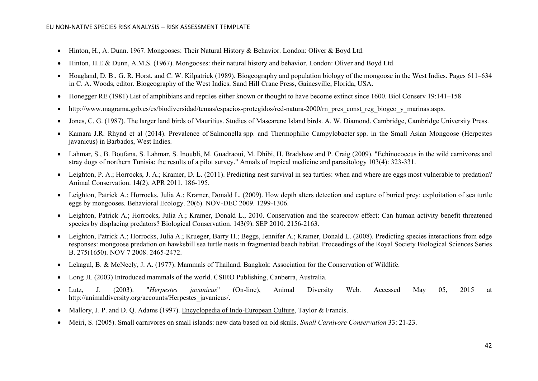- Hinton, H., A. Dunn. 1967. Mongooses: Their Natural History & Behavior. London: Oliver & Boyd Ltd.
- Hinton, H.E.& Dunn, A.M.S. (1967). Mongooses: their natural history and behavior. London: Oliver and Boyd Ltd.
- Hoagland, D. B., G. R. Horst, and C. W. Kilpatrick (1989). Biogeography and population biology of the mongoose in the West Indies. Pages 611–634 in C. A. Woods, editor. Biogeography of the West Indies. Sand Hill Crane Press, Gainesville, Florida, USA.
- Honegger RE (1981) List of amphibians and reptiles either known or thought to have become extinct since 1600. Biol Conserv 19:141–158
- http://www.magrama.gob.es/es/biodiversidad/temas/espacios-protegidos/red-natura-2000/rn\_pres\_const\_reg\_biogeo\_y\_marinas.aspx.
- Jones, C. G. (1987). The larger land birds of Mauritius. Studies of Mascarene Island birds. A. W. Diamond. Cambridge, Cambridge University Press.
- Kamara J.R. Rhynd et al (2014). Prevalence of Salmonella spp. and Thermophilic Campylobacter spp. in the Small Asian Mongoose (Herpestes javanicus) in Barbados, West Indies.
- Lahmar, S., B. Boufana, S. Lahmar, S. Inoubli, M. Guadraoui, M. Dhibi, H. Bradshaw and P. Craig (2009). "Echinococcus in the wild carnivores and stray dogs of northern Tunisia: the results of a pilot survey." Annals of tropical medicine and parasitology 103(4): 323-331.
- Leighton, P. A.; Horrocks, J. A.; Kramer, D. L. (2011). Predicting nest survival in sea turtles: when and where are eggs most vulnerable to predation? Animal Conservation. 14(2). APR 2011. 186-195.
- Leighton, Patrick A.; Horrocks, Julia A.; Kramer, Donald L. (2009). How depth alters detection and capture of buried prey: exploitation of sea turtle eggs by mongooses. Behavioral Ecology. 20(6). NOV-DEC 2009. 1299-1306.
- Leighton, Patrick A.; Horrocks, Julia A.; Kramer, Donald L., 2010. Conservation and the scarecrow effect: Can human activity benefit threatened species by displacing predators? Biological Conservation. 143(9). SEP 2010. 2156-2163.
- Leighton, Patrick A.; Horrocks, Julia A.; Krueger, Barry H.; Beggs, Jennifer A.; Kramer, Donald L. (2008). Predicting species interactions from edge responses: mongoose predation on hawksbill sea turtle nests in fragmented beach habitat. Proceedings of the Royal Society Biological Sciences Series B. 275(1650). NOV 7 2008. 2465-2472.
- Lekagul, B. & McNeely, J. A. (1977). Mammals of Thailand. Bangkok: Association for the Conservation of Wildlife.
- Long JL (2003) Introduced mammals of the world. CSIRO Publishing, Canberra, Australia.
- Lutz, J. (2003). "*Herpestes javanicus*" (On-line), Animal Diversity Web. Accessed May 05, 2015 at [http://animaldiversity.org/accoun](http://animaldiversity.org/accounts/Herpestes_javanicus/)ts/Herpestes\_javanicus/.
- Mallory, J. P. and D. Q. Adams (1997). Encyclopedia of Indo-European Culture, Taylor & Francis.
- Meiri, S. (2005). Small carnivores on small islands: new data based on old skulls. *Small Carnivore Conservation* 33: 21-23.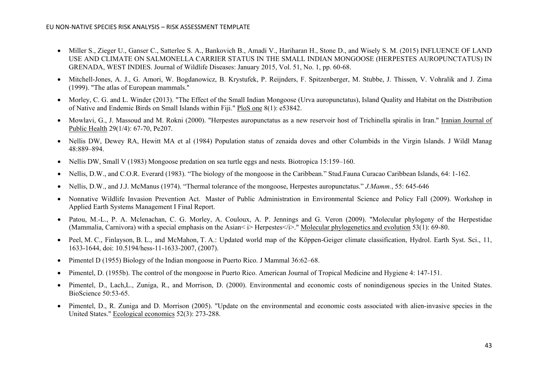- Miller S., Zieger U., Ganser C., Satterlee S. A., Bankovich B., Amadi V., Hariharan H., Stone D., and Wisely S. M. (2015) INFLUENCE OF LAND USE AND CLIMATE ON SALMONELLA CARRIER STATUS IN THE SMALL INDIAN MONGOOSE (HERPESTES AUROPUNCTATUS) IN GRENADA, WEST INDIES. Journal of Wildlife Diseases: January 2015, Vol. 51, No. 1, pp. 60-68.
- Mitchell-Jones, A. J., G. Amori, W. Bogdanowicz, B. Krystufek, P. Reijnders, F. Spitzenberger, M. Stubbe, J. Thissen, V. Vohralik and J. Zima (1999). "The atlas of European mammals."
- Morley, C. G. and L. Winder (2013). "The Effect of the Small Indian Mongoose (Urva auropunctatus), Island Quality and Habitat on the Distribution of Native and Endemic Birds on Small Islands within Fiji." PloS one 8(1): e53842.
- Mowlavi, G., J. Massoud and M. Rokni (2000). "Herpestes auropunctatus as a new reservoir host of Trichinella spiralis in Iran." Iranian Journal of Public Health 29(1/4): 67-70, Pe207.
- Nellis DW, Dewey RA, Hewitt MA et al (1984) Population status of zenaida doves and other Columbids in the Virgin Islands. J Wildl Manag 48:889–894.
- Nellis DW, Small V (1983) Mongoose predation on sea turtle eggs and nests. Biotropica 15:159–160.
- Nellis, D.W., and C.O.R. Everard (1983). "The biology of the mongoose in the Caribbean." Stud.Fauna Curacao Caribbean Islands, 64: 1-162.
- Nellis, D.W., and J.J. McManus (1974). "Thermal tolerance of the mongoose, Herpestes auropunctatus." *J.Mamm.*, 55: 645-646
- Nonnative Wildlife Invasion Prevention Act. Master of Public Administration in Environmental Science and Policy Fall (2009). Workshop in Applied Earth Systems Management I Final Report.
- Patou, M.-L., P. A. Mclenachan, C. G. Morley, A. Couloux, A. P. Jennings and G. Veron (2009). "Molecular phylogeny of the Herpestidae (Mammalia, Carnivora) with a special emphasis on the Asian< i>Herpestes</i>." Molecular phylogenetics and evolution 53(1): 69-80.
- Peel, M. C., Finlayson, B. L., and McMahon, T. A.: Updated world map of the Köppen-Geiger climate classification, Hydrol. Earth Syst. Sci., 11, 1633-1644, doi: 10.5194/hess-11-1633-2007, (2007).
- Pimentel D (1955) Biology of the Indian mongoose in Puerto Rico. J Mammal 36:62–68.
- Pimentel, D. (1955b). The control of the mongoose in Puerto Rico. American Journal of Tropical Medicine and Hygiene 4: 147-151.
- Pimentel, D., Lach,L., Zuniga, R., and Morrison, D. (2000). Environmental and economic costs of nonindigenous species in the United States. BioScience 50:53-65.
- Pimentel, D., R. Zuniga and D. Morrison (2005). "Update on the environmental and economic costs associated with alien-invasive species in the United States." Ecological economics 52(3): 273-288.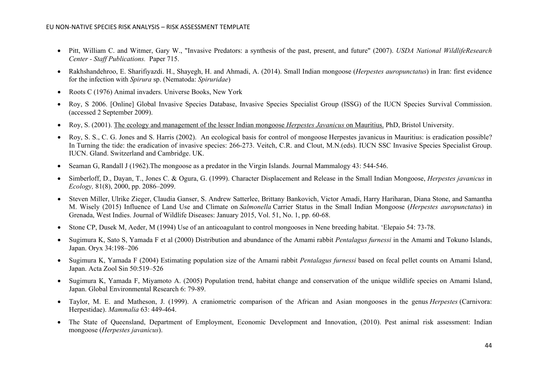- Pitt, William C. and Witmer, Gary W., "Invasive Predators: a synthesis of the past, present, and future" (2007). *USDA National WildlifeResearch Center - Staff Publications.* Paper 715.
- Rakhshandehroo, E. Sharifiyazdi. H., Shayegh, H. and Ahmadi, A. (2014). Small Indian mongoose (*Herpestes auropunctatus*) in Iran: first evidence for the infection with *Spirura* sp. (Nematoda: *Spiruridae*)
- Roots C (1976) Animal invaders. Universe Books, New York
- Roy, S 2006. [Online] Global Invasive Species Database, Invasive Species Specialist Group (ISSG) of the IUCN Species Survival Commission. (accessed 2 September 2009).
- Roy, S. (2001). The ecology and management of the lesser Indian mongoose *Herpestes Javanicus* on Mauritius. PhD, Bristol University.
- [Roy, S. S., C. G. Jones and S. Harris \(2002\). An ecological basis for control of mongoose](http://www.issg.org/database/species/reference_files/herjav/Roy.pdf) Herpestes javanicus in Mauritius: is eradication possible? In Turning the tide: the eradication of invasive species: 266-273. Veitch, C.R. and Clout, M.N.(eds). IUCN SSC Invasive Species Specialist Group. [IUCN. Gland. Switzerland and Cambridge. UK.](http://www.issg.org/database/species/reference_files/herjav/Roy.pdf)
- Seaman G, Randall J (1962). The mongoose as a predator in the Virgin Islands. Journal Mammalogy 43: 544-546.
- Simberloff, D., Dayan, T., Jones C. & Ogura, G. (1999). Character Displacement and Release in the Small Indian Mongoose, *Herpestes javanicus* in *Ecology,* 81(8), 2000, pp. 2086–2099.
- Steven Miller, Ulrike Zieger, Claudia Ganser, S. Andrew Satterlee, Brittany Bankovich, Victor Amadi, Harry Hariharan, Diana Stone, and Samantha M. Wisely (2015) Influence of Land Use and Climate on *Salmonella* Carrier Status in the Small Indian Mongoose (*Herpestes auropunctatus*) in Grenada, West Indies. Journal of Wildlife Diseases: January 2015, Vol. 51, No. 1, pp. 60-68.
- Stone CP, Dusek M, Aeder, M (1994) Use of an anticoagulant to control mongooses in Nene breeding habitat. 'Elepaio 54: 73-78.
- Sugimura K, Sato S, Yamada F et al (2000) Distribution and abundance of the Amami rabbit *Pentalagus furnessi* in the Amami and Tokuno Islands, Japan. Oryx 34:198–206
- Sugimura K, Yamada F (2004) Estimating population size of the Amami rabbit *Pentalagus furnessi* based on fecal pellet counts on Amami Island, Japan. Acta Zool Sin 50:519–526
- Sugimura K, Yamada F, Miyamoto A. (2005) Population trend, habitat change and conservation of the unique wildlife species on Amami Island, Japan. Global Environmental Research 6: 79-89.
- Taylor, M. E. and Matheson, J. (1999). A craniometric comparison of the African and Asian mongooses in the genus *Herpestes* (Carnivora: Herpestidae). *Mammalia* 63: 449-464.
- The State of Queensland, Department of Employment, Economic Development and Innovation, (2010). Pest animal risk assessment: Indian mongoose (*Herpestes javanicus*).